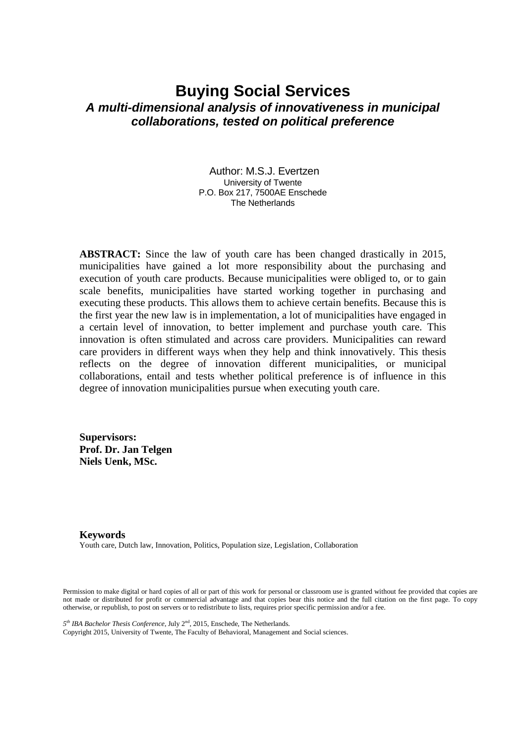# **Buying Social Services** *A multi-dimensional analysis of innovativeness in municipal collaborations, tested on political preference*

Author: M.S.J. Evertzen University of Twente P.O. Box 217, 7500AE Enschede The Netherlands

**ABSTRACT:** Since the law of youth care has been changed drastically in 2015, municipalities have gained a lot more responsibility about the purchasing and execution of youth care products. Because municipalities were obliged to, or to gain scale benefits, municipalities have started working together in purchasing and executing these products. This allows them to achieve certain benefits. Because this is the first year the new law is in implementation, a lot of municipalities have engaged in a certain level of innovation, to better implement and purchase youth care. This innovation is often stimulated and across care providers. Municipalities can reward care providers in different ways when they help and think innovatively. This thesis reflects on the degree of innovation different municipalities, or municipal collaborations, entail and tests whether political preference is of influence in this degree of innovation municipalities pursue when executing youth care.

**Supervisors: Prof. Dr. Jan Telgen Niels Uenk, MSc.**

# **Keywords**

Youth care, Dutch law, Innovation, Politics, Population size, Legislation, Collaboration

Permission to make digital or hard copies of all or part of this work for personal or classroom use is granted without fee provided that copies are not made or distributed for profit or commercial advantage and that copies bear this notice and the full citation on the first page. To copy otherwise, or republish, to post on servers or to redistribute to lists, requires prior specific permission and/or a fee.

*5 th IBA Bachelor Thesis Conference*, July 2nd, 2015, Enschede, The Netherlands.

Copyright 2015, University of Twente, The Faculty of Behavioral, Management and Social sciences.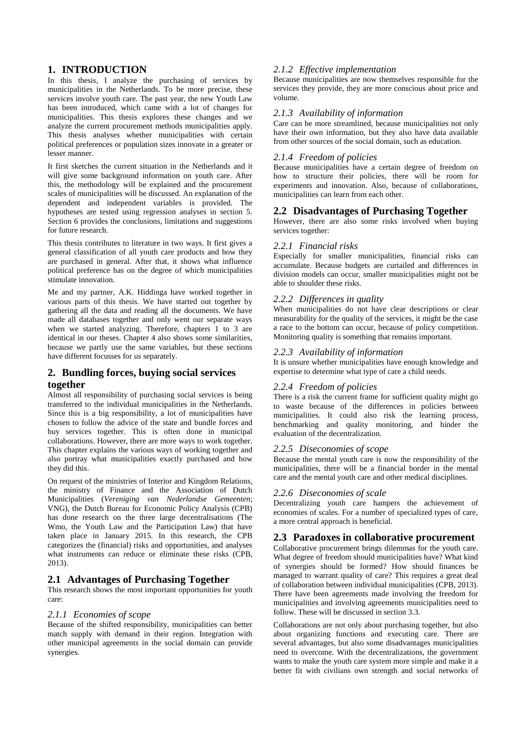# **1. INTRODUCTION**

In this thesis, I analyze the purchasing of services by municipalities in the Netherlands. To be more precise, these services involve youth care. The past year, the new Youth Law has been introduced, which came with a lot of changes for municipalities. This thesis explores these changes and we analyze the current procurement methods municipalities apply. This thesis analyses whether municipalities with certain political preferences or population sizes innovate in a greater or lesser manner.

It first sketches the current situation in the Netherlands and it will give some background information on youth care. After this, the methodology will be explained and the procurement scales of municipalities will be discussed. An explanation of the dependent and independent variables is provided. The hypotheses are tested using regression analyses in section 5. Section 6 provides the conclusions, limitations and suggestions for future research.

This thesis contributes to literature in two ways. It first gives a general classification of all youth care products and how they are purchased in general. After that, it shows what influence political preference has on the degree of which municipalities stimulate innovation.

Me and my partner, A.K. Hiddinga have worked together in various parts of this thesis. We have started out together by gathering all the data and reading all the documents. We have made all databases together and only went our separate ways when we started analyzing. Therefore, chapters 1 to 3 are identical in our theses. Chapter 4 also shows some similarities, because we partly use the same variables, but these sections have different focusses for us separately.

# **2. Bundling forces, buying social services together**

Almost all responsibility of purchasing social services is being transferred to the individual municipalities in the Netherlands. Since this is a big responsibility, a lot of municipalities have chosen to follow the advice of the state and bundle forces and buy services together. This is often done in municipal collaborations. However, there are more ways to work together. This chapter explains the various ways of working together and also portray what municipalities exactly purchased and how they did this.

On request of the ministries of Interior and Kingdom Relations, the ministry of Finance and the Association of Dutch Municipalities (*Vereniging van Nederlandse Gemeenten*; VNG), the Dutch Bureau for Economic Policy Analysis (CPB) has done research on the three large decentralisations (The Wmo, the Youth Law and the Participation Law) that have taken place in January 2015. In this research, the CPB categorizes the (financial) risks and opportunities, and analyses what instruments can reduce or eliminate these risks (CPB, 2013).

# **2.1 Advantages of Purchasing Together**

This research shows the most important opportunities for youth care:

## *2.1.1 Economies of scope*

Because of the shifted responsibility, municipalities can better match supply with demand in their region. Integration with other municipal agreements in the social domain can provide synergies.

# *2.1.2 Effective implementation*

Because municipalities are now themselves responsible for the services they provide, they are more conscious about price and volume.

#### *2.1.3 Availability of information*

Care can be more streamlined, because municipalities not only have their own information, but they also have data available from other sources of the social domain, such as education.

# *2.1.4 Freedom of policies*

Because municipalities have a certain degree of freedom on how to structure their policies, there will be room for experiments and innovation. Also, because of collaborations, municipalities can learn from each other.

# **2.2 Disadvantages of Purchasing Together**

However, there are also some risks involved when buying services together:

#### *2.2.1 Financial risks*

Especially for smaller municipalities, financial risks can accumulate. Because budgets are curtailed and differences in division models can occur, smaller municipalities might not be able to shoulder these risks.

## *2.2.2 Differences in quality*

When municipalities do not have clear descriptions or clear measurability for the quality of the services, it might be the case a race to the bottom can occur, because of policy competition. Monitoring quality is something that remains important.

# *2.2.3 Availability of information*

It is unsure whether municipalities have enough knowledge and expertise to determine what type of care a child needs.

## *2.2.4 Freedom of policies*

There is a risk the current frame for sufficient quality might go to waste because of the differences in policies between municipalities. It could also risk the learning process, benchmarking and quality monitoring, and hinder the evaluation of the decentralization.

#### *2.2.5 Diseconomies of scope*

Because the mental youth care is now the responsibility of the municipalities, there will be a financial border in the mental care and the mental youth care and other medical disciplines.

## *2.2.6 Diseconomies of scale*

Decentralizing youth care hampers the achievement of economies of scales. For a number of specialized types of care, a more central approach is beneficial.

## **2.3 Paradoxes in collaborative procurement**

Collaborative procurement brings dilemmas for the youth care. What degree of freedom should municipalities have? What kind of synergies should be formed? How should finances be managed to warrant quality of care? This requires a great deal of collaboration between individual municipalities (CPB, 2013). There have been agreements made involving the freedom for municipalities and involving agreements municipalities need to follow. These will be discussed in section 3.3.

Collaborations are not only about purchasing together, but also about organizing functions and executing care. There are several advantages, but also some disadvantages municipalities need to overcome. With the decentralizations, the government wants to make the youth care system more simple and make it a better fit with civilians own strength and social networks of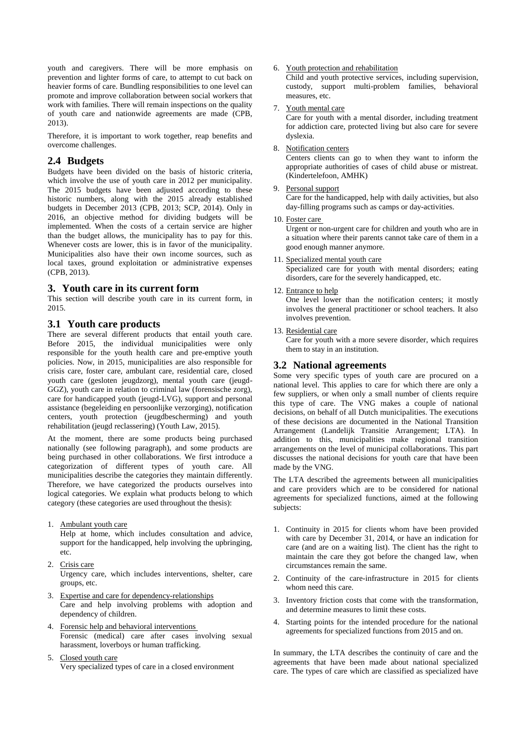youth and caregivers. There will be more emphasis on prevention and lighter forms of care, to attempt to cut back on heavier forms of care. Bundling responsibilities to one level can promote and improve collaboration between social workers that work with families. There will remain inspections on the quality of youth care and nationwide agreements are made (CPB, 2013).

Therefore, it is important to work together, reap benefits and overcome challenges.

# **2.4 Budgets**

Budgets have been divided on the basis of historic criteria, which involve the use of youth care in 2012 per municipality. The 2015 budgets have been adjusted according to these historic numbers, along with the 2015 already established budgets in December 2013 (CPB, 2013; SCP, 2014). Only in 2016, an objective method for dividing budgets will be implemented. When the costs of a certain service are higher than the budget allows, the municipality has to pay for this. Whenever costs are lower, this is in favor of the municipality. Municipalities also have their own income sources, such as local taxes, ground exploitation or administrative expenses (CPB, 2013).

# **3. Youth care in its current form**

This section will describe youth care in its current form, in 2015.

## **3.1 Youth care products**

There are several different products that entail youth care. Before 2015, the individual municipalities were only responsible for the youth health care and pre-emptive youth policies. Now, in 2015, municipalities are also responsible for crisis care, foster care, ambulant care, residential care, closed youth care (gesloten jeugdzorg), mental youth care (jeugd-GGZ), youth care in relation to criminal law (forensische zorg), care for handicapped youth (jeugd-LVG), support and personal assistance (begeleiding en persoonlijke verzorging), notification centers, youth protection (jeugdbescherming) and youth rehabilitation (jeugd reclassering) (Youth Law, 2015).

At the moment, there are some products being purchased nationally (see following paragraph), and some products are being purchased in other collaborations. We first introduce a categorization of different types of youth care. All municipalities describe the categories they maintain differently. Therefore, we have categorized the products ourselves into logical categories. We explain what products belong to which category (these categories are used throughout the thesis):

1. Ambulant youth care

Help at home, which includes consultation and advice, support for the handicapped, help involving the upbringing, etc.

- 2. Crisis care Urgency care, which includes interventions, shelter, care groups, etc.
- 3. Expertise and care for dependency-relationships Care and help involving problems with adoption and dependency of children.
- 4. Forensic help and behavioral interventions Forensic (medical) care after cases involving sexual harassment, loverboys or human trafficking.
- 5. Closed youth care Very specialized types of care in a closed environment

#### 6. Youth protection and rehabilitation

Child and youth protective services, including supervision, custody, support multi-problem families, behavioral measures, etc.

#### 7. Youth mental care

Care for youth with a mental disorder, including treatment for addiction care, protected living but also care for severe dyslexia.

#### 8. Notification centers

Centers clients can go to when they want to inform the appropriate authorities of cases of child abuse or mistreat. (Kindertelefoon, AMHK)

#### 9. Personal support

Care for the handicapped, help with daily activities, but also day-filling programs such as camps or day-activities.

#### 10. Foster care

Urgent or non-urgent care for children and youth who are in a situation where their parents cannot take care of them in a good enough manner anymore.

11. Specialized mental youth care

Specialized care for youth with mental disorders; eating disorders, care for the severely handicapped, etc.

12. Entrance to help

One level lower than the notification centers; it mostly involves the general practitioner or school teachers. It also involves prevention.

#### 13. Residential care

Care for youth with a more severe disorder, which requires them to stay in an institution.

# **3.2 National agreements**

Some very specific types of youth care are procured on a national level. This applies to care for which there are only a few suppliers, or when only a small number of clients require this type of care. The VNG makes a couple of national decisions, on behalf of all Dutch municipalities. The executions of these decisions are documented in the National Transition Arrangement (Landelijk Transitie Arrangement; LTA). In addition to this, municipalities make regional transition arrangements on the level of municipal collaborations. This part discusses the national decisions for youth care that have been made by the VNG.

The LTA described the agreements between all municipalities and care providers which are to be considered for national agreements for specialized functions, aimed at the following subjects:

- 1. Continuity in 2015 for clients whom have been provided with care by December 31, 2014, or have an indication for care (and are on a waiting list). The client has the right to maintain the care they got before the changed law, when circumstances remain the same.
- 2. Continuity of the care-infrastructure in 2015 for clients whom need this care.
- 3. Inventory friction costs that come with the transformation, and determine measures to limit these costs.
- 4. Starting points for the intended procedure for the national agreements for specialized functions from 2015 and on.

In summary, the LTA describes the continuity of care and the agreements that have been made about national specialized care. The types of care which are classified as specialized have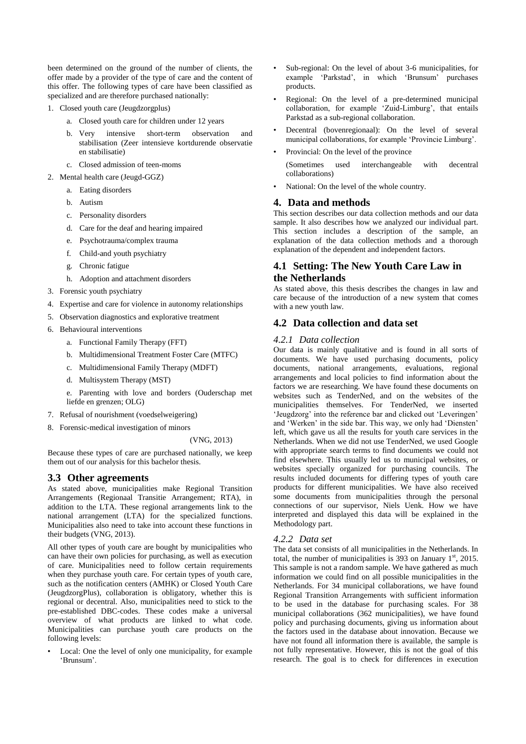been determined on the ground of the number of clients, the offer made by a provider of the type of care and the content of this offer. The following types of care have been classified as specialized and are therefore purchased nationally:

- 1. Closed youth care (Jeugdzorgplus)
	- a. Closed youth care for children under 12 years
	- b. Very intensive short-term observation and stabilisation (Zeer intensieve kortdurende observatie en stabilisatie)
	- c. Closed admission of teen-moms
- 2. Mental health care (Jeugd-GGZ)
	- a. Eating disorders
	- b. Autism
	- c. Personality disorders
	- d. Care for the deaf and hearing impaired
	- e. Psychotrauma/complex trauma
	- f. Child-and youth psychiatry
	- g. Chronic fatigue
	- h. Adoption and attachment disorders
- 3. Forensic youth psychiatry
- 4. Expertise and care for violence in autonomy relationships
- 5. Observation diagnostics and explorative treatment
- 6. Behavioural interventions
	- a. Functional Family Therapy (FFT)
	- b. Multidimensional Treatment Foster Care (MTFC)
	- c. Multidimensional Family Therapy (MDFT)
	- d. Multisystem Therapy (MST)

e. Parenting with love and borders (Ouderschap met liefde en grenzen; OLG)

- 7. Refusal of nourishment (voedselweigering)
- 8. Forensic-medical investigation of minors

#### (VNG, 2013)

Because these types of care are purchased nationally, we keep them out of our analysis for this bachelor thesis.

#### **3.3 Other agreements**

As stated above, municipalities make Regional Transition Arrangements (Regionaal Transitie Arrangement; RTA), in addition to the LTA. These regional arrangements link to the national arrangement (LTA) for the specialized functions. Municipalities also need to take into account these functions in their budgets (VNG, 2013).

All other types of youth care are bought by municipalities who can have their own policies for purchasing, as well as execution of care. Municipalities need to follow certain requirements when they purchase youth care. For certain types of youth care, such as the notification centers (AMHK) or Closed Youth Care (JeugdzorgPlus), collaboration is obligatory, whether this is regional or decentral. Also, municipalities need to stick to the pre-established DBC-codes. These codes make a universal overview of what products are linked to what code. Municipalities can purchase youth care products on the following levels:

Local: One the level of only one municipality, for example 'Brunsum'.

- Sub-regional: On the level of about 3-6 municipalities, for example 'Parkstad', in which 'Brunsum' purchases products.
- Regional: On the level of a pre-determined municipal collaboration, for example 'Zuid-Limburg', that entails Parkstad as a sub-regional collaboration.
- Decentral (bovenregionaal): On the level of several municipal collaborations, for example 'Provincie Limburg'.
- Provincial: On the level of the province
- (Sometimes used interchangeable with decentral collaborations)
- National: On the level of the whole country.

# **4. Data and methods**

This section describes our data collection methods and our data sample. It also describes how we analyzed our individual part. This section includes a description of the sample, an explanation of the data collection methods and a thorough explanation of the dependent and independent factors.

# **4.1 Setting: The New Youth Care Law in the Netherlands**

As stated above, this thesis describes the changes in law and care because of the introduction of a new system that comes with a new youth law.

# **4.2 Data collection and data set**

#### *4.2.1 Data collection*

Our data is mainly qualitative and is found in all sorts of documents. We have used purchasing documents, policy documents, national arrangements, evaluations, regional arrangements and local policies to find information about the factors we are researching. We have found these documents on websites such as TenderNed, and on the websites of the municipalities themselves. For TenderNed, we inserted 'Jeugdzorg' into the reference bar and clicked out 'Leveringen' and 'Werken' in the side bar. This way, we only had 'Diensten' left, which gave us all the results for youth care services in the Netherlands. When we did not use TenderNed, we used Google with appropriate search terms to find documents we could not find elsewhere. This usually led us to municipal websites, or websites specially organized for purchasing councils. The results included documents for differing types of youth care products for different municipalities. We have also received some documents from municipalities through the personal connections of our supervisor, Niels Uenk. How we have interpreted and displayed this data will be explained in the Methodology part.

#### *4.2.2 Data set*

The data set consists of all municipalities in the Netherlands. In total, the number of municipalities is 393 on January  $1<sup>st</sup>$ , 2015. This sample is not a random sample. We have gathered as much information we could find on all possible municipalities in the Netherlands. For 34 municipal collaborations, we have found Regional Transition Arrangements with sufficient information to be used in the database for purchasing scales. For 38 municipal collaborations (362 municipalities), we have found policy and purchasing documents, giving us information about the factors used in the database about innovation. Because we have not found all information there is available, the sample is not fully representative. However, this is not the goal of this research. The goal is to check for differences in execution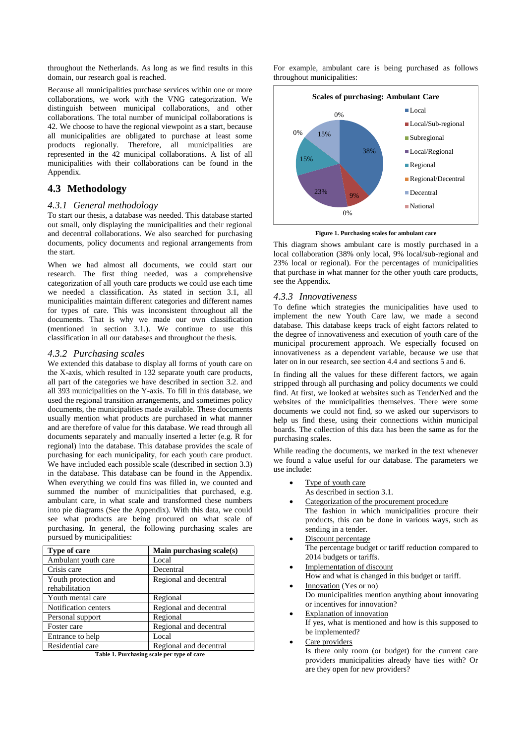throughout the Netherlands. As long as we find results in this domain, our research goal is reached.

Because all municipalities purchase services within one or more collaborations, we work with the VNG categorization. We distinguish between municipal collaborations, and other collaborations. The total number of municipal collaborations is 42. We choose to have the regional viewpoint as a start, because all municipalities are obligated to purchase at least some products regionally. Therefore, all municipalities are represented in the 42 municipal collaborations. A list of all municipalities with their collaborations can be found in the Appendix.

# **4.3 Methodology**

#### *4.3.1 General methodology*

To start our thesis, a database was needed. This database started out small, only displaying the municipalities and their regional and decentral collaborations. We also searched for purchasing documents, policy documents and regional arrangements from the start.

When we had almost all documents, we could start our research. The first thing needed, was a comprehensive categorization of all youth care products we could use each time we needed a classification. As stated in section 3.1, all municipalities maintain different categories and different names for types of care. This was inconsistent throughout all the documents. That is why we made our own classification (mentioned in section 3.1.). We continue to use this classification in all our databases and throughout the thesis.

#### *4.3.2 Purchasing scales*

We extended this database to display all forms of youth care on the X-axis, which resulted in 132 separate youth care products, all part of the categories we have described in section 3.2. and all 393 municipalities on the Y-axis. To fill in this database, we used the regional transition arrangements, and sometimes policy documents, the municipalities made available. These documents usually mention what products are purchased in what manner and are therefore of value for this database. We read through all documents separately and manually inserted a letter (e.g. R for regional) into the database. This database provides the scale of purchasing for each municipality, for each youth care product. We have included each possible scale (described in section 3.3) in the database. This database can be found in the Appendix. When everything we could fins was filled in, we counted and summed the number of municipalities that purchased, e.g. ambulant care, in what scale and transformed these numbers into pie diagrams (See the Appendix). With this data, we could see what products are being procured on what scale of purchasing. In general, the following purchasing scales are pursued by municipalities:

| Type of care         | Main purchasing scale(s) |
|----------------------|--------------------------|
| Ambulant youth care  | Local                    |
| Crisis care          | Decentral                |
| Youth protection and | Regional and decentral   |
| rehabilitation       |                          |
| Youth mental care    | Regional                 |
| Notification centers | Regional and decentral   |
| Personal support     | Regional                 |
| Foster care          | Regional and decentral   |
| Entrance to help     | Local                    |
| Residential care     | Regional and decentral   |
|                      |                          |

**Table 1. Purchasing scale per type of care**

For example, ambulant care is being purchased as follows throughout municipalities:



**Figure 1. Purchasing scales for ambulant care**

This diagram shows ambulant care is mostly purchased in a local collaboration (38% only local, 9% local/sub-regional and 23% local or regional). For the percentages of municipalities that purchase in what manner for the other youth care products, see the Appendix.

#### *4.3.3 Innovativeness*

To define which strategies the municipalities have used to implement the new Youth Care law, we made a second database. This database keeps track of eight factors related to the degree of innovativeness and execution of youth care of the municipal procurement approach. We especially focused on innovativeness as a dependent variable, because we use that later on in our research, see section 4.4 and sections 5 and 6.

In finding all the values for these different factors, we again stripped through all purchasing and policy documents we could find. At first, we looked at websites such as TenderNed and the websites of the municipalities themselves. There were some documents we could not find, so we asked our supervisors to help us find these, using their connections within municipal boards. The collection of this data has been the same as for the purchasing scales.

While reading the documents, we marked in the text whenever we found a value useful for our database. The parameters we use include:

- Type of youth care As described in section 3.1.
- Categorization of the procurement procedure
	- The fashion in which municipalities procure their products, this can be done in various ways, such as sending in a tender.
- Discount percentage The percentage budget or tariff reduction compared to 2014 budgets or tariffs.
- Implementation of discount How and what is changed in this budget or tariff.
- Innovation (Yes or no) Do municipalities mention anything about innovating or incentives for innovation?
- Explanation of innovation If yes, what is mentioned and how is this supposed to be implemented?
- Care providers

Is there only room (or budget) for the current care providers municipalities already have ties with? Or are they open for new providers?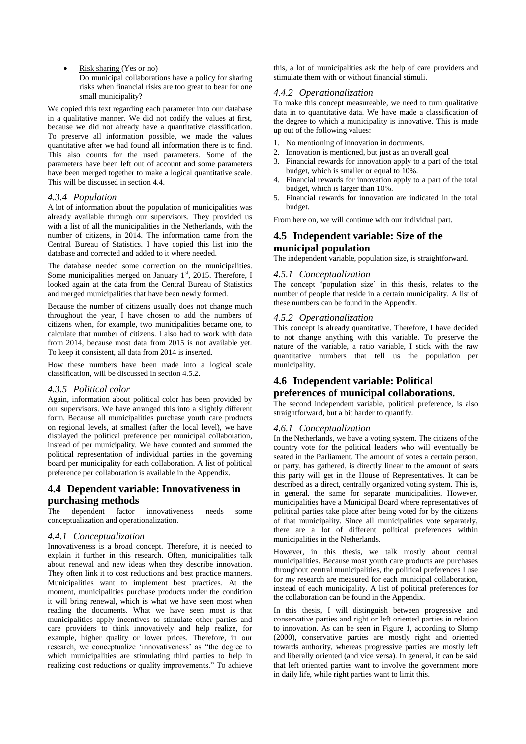Risk sharing (Yes or no) Do municipal collaborations have a policy for sharing risks when financial risks are too great to bear for one small municipality?

We copied this text regarding each parameter into our database in a qualitative manner. We did not codify the values at first, because we did not already have a quantitative classification. To preserve all information possible, we made the values quantitative after we had found all information there is to find. This also counts for the used parameters. Some of the parameters have been left out of account and some parameters have been merged together to make a logical quantitative scale. This will be discussed in section 4.4.

#### *4.3.4 Population*

A lot of information about the population of municipalities was already available through our supervisors. They provided us with a list of all the municipalities in the Netherlands, with the number of citizens, in 2014. The information came from the Central Bureau of Statistics. I have copied this list into the database and corrected and added to it where needed.

The database needed some correction on the municipalities. Some municipalities merged on January  $1<sup>st</sup>$ , 2015. Therefore, I looked again at the data from the Central Bureau of Statistics and merged municipalities that have been newly formed.

Because the number of citizens usually does not change much throughout the year, I have chosen to add the numbers of citizens when, for example, two municipalities became one, to calculate that number of citizens. I also had to work with data from 2014, because most data from 2015 is not available yet. To keep it consistent, all data from 2014 is inserted.

How these numbers have been made into a logical scale classification, will be discussed in section 4.5.2.

#### *4.3.5 Political color*

Again, information about political color has been provided by our supervisors. We have arranged this into a slightly different form. Because all municipalities purchase youth care products on regional levels, at smallest (after the local level), we have displayed the political preference per municipal collaboration, instead of per municipality. We have counted and summed the political representation of individual parties in the governing board per municipality for each collaboration. A list of political preference per collaboration is available in the Appendix.

# **4.4 Dependent variable: Innovativeness in purchasing methods**

The dependent factor innovativeness needs some conceptualization and operationalization.

#### *4.4.1 Conceptualization*

Innovativeness is a broad concept. Therefore, it is needed to explain it further in this research. Often, municipalities talk about renewal and new ideas when they describe innovation. They often link it to cost reductions and best practice manners. Municipalities want to implement best practices. At the moment, municipalities purchase products under the condition it will bring renewal, which is what we have seen most when reading the documents. What we have seen most is that municipalities apply incentives to stimulate other parties and care providers to think innovatively and help realize, for example, higher quality or lower prices. Therefore, in our research, we conceptualize 'innovativeness' as "the degree to which municipalities are stimulating third parties to help in realizing cost reductions or quality improvements." To achieve this, a lot of municipalities ask the help of care providers and stimulate them with or without financial stimuli.

#### *4.4.2 Operationalization*

To make this concept measureable, we need to turn qualitative data in to quantitative data. We have made a classification of the degree to which a municipality is innovative. This is made up out of the following values:

- 1. No mentioning of innovation in documents.
- 2. Innovation is mentioned, but just as an overall goal
- 3. Financial rewards for innovation apply to a part of the total budget, which is smaller or equal to 10%.
- 4. Financial rewards for innovation apply to a part of the total budget, which is larger than 10%.
- 5. Financial rewards for innovation are indicated in the total budget.

From here on, we will continue with our individual part.

# **4.5 Independent variable: Size of the municipal population**

The independent variable, population size, is straightforward.

#### *4.5.1 Conceptualization*

The concept 'population size' in this thesis, relates to the number of people that reside in a certain municipality. A list of these numbers can be found in the Appendix.

# *4.5.2 Operationalization*

This concept is already quantitative. Therefore, I have decided to not change anything with this variable. To preserve the nature of the variable, a ratio variable, I stick with the raw quantitative numbers that tell us the population per municipality.

# **4.6 Independent variable: Political**

# **preferences of municipal collaborations.**

The second independent variable, political preference, is also straightforward, but a bit harder to quantify.

#### *4.6.1 Conceptualization*

In the Netherlands, we have a voting system. The citizens of the country vote for the political leaders who will eventually be seated in the Parliament. The amount of votes a certain person, or party, has gathered, is directly linear to the amount of seats this party will get in the House of Representatives. It can be described as a direct, centrally organized voting system. This is, in general, the same for separate municipalities. However, municipalities have a Municipal Board where representatives of political parties take place after being voted for by the citizens of that municipality. Since all municipalities vote separately, there are a lot of different political preferences within municipalities in the Netherlands.

However, in this thesis, we talk mostly about central municipalities. Because most youth care products are purchases throughout central municipalities, the political preferences I use for my research are measured for each municipal collaboration, instead of each municipality. A list of political preferences for the collaboration can be found in the Appendix.

In this thesis, I will distinguish between progressive and conservative parties and right or left oriented parties in relation to innovation. As can be seen in Figure 1, according to Slomp (2000), conservative parties are mostly right and oriented towards authority, whereas progressive parties are mostly left and liberally oriented (and vice versa). In general, it can be said that left oriented parties want to involve the government more in daily life, while right parties want to limit this.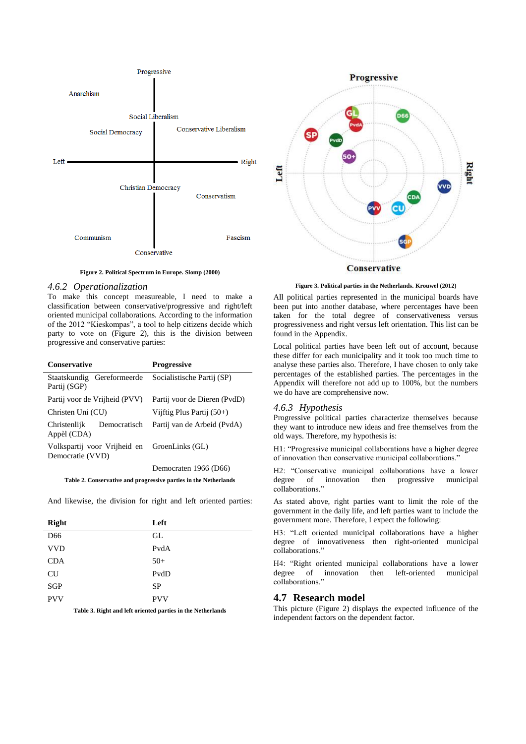

**Figure 2. Political Spectrum in Europe. Slomp (2000)**

#### *4.6.2 Operationalization*

To make this concept measureable, I need to make a classification between conservative/progressive and right/left oriented municipal collaborations. According to the information of the 2012 "Kieskompas", a tool to help citizens decide which party to vote on (Figure 2), this is the division between progressive and conservative parties:

| <b>Conservative</b>                                              | <b>Progressive</b>           |
|------------------------------------------------------------------|------------------------------|
| Staatskundig Gereformeerde<br>Partij (SGP)                       | Socialistische Partij (SP)   |
| Partij voor de Vrijheid (PVV)                                    | Partij voor de Dieren (PvdD) |
| Christen Uni (CU)                                                | Vijftig Plus Partij $(50+)$  |
| Democratisch<br>Christenlijk<br>Appèl (CDA)                      | Partij van de Arbeid (PvdA)  |
| Volkspartij voor Vrijheid en<br>Democratie (VVD)                 | GroenLinks (GL)              |
|                                                                  | Democraten 1966 (D66)        |
| Table 2. Conservative and progressive parties in the Netherlands |                              |

And likewise, the division for right and left oriented parties:

| <b>Right</b>    | Left       |
|-----------------|------------|
| D <sub>66</sub> | GL         |
| <b>VVD</b>      | PvdA       |
| <b>CDA</b>      | $50+$      |
| <b>CU</b>       | PvdD       |
| <b>SGP</b>      | <b>SP</b>  |
| <b>PVV</b>      | <b>PVV</b> |

**Table 3. Right and left oriented parties in the Netherlands**



**Figure 3. Political parties in the Netherlands. Krouwel (2012)**

All political parties represented in the municipal boards have been put into another database, where percentages have been taken for the total degree of conservativeness versus progressiveness and right versus left orientation. This list can be found in the Appendix.

Local political parties have been left out of account, because these differ for each municipality and it took too much time to analyse these parties also. Therefore, I have chosen to only take percentages of the established parties. The percentages in the Appendix will therefore not add up to 100%, but the numbers we do have are comprehensive now.

#### *4.6.3 Hypothesis*

Progressive political parties characterize themselves because they want to introduce new ideas and free themselves from the old ways. Therefore, my hypothesis is:

H1: "Progressive municipal collaborations have a higher degree of innovation then conservative municipal collaborations."

H2: "Conservative municipal collaborations have a lower degree of innovation then progressive municipal collaborations."

As stated above, right parties want to limit the role of the government in the daily life, and left parties want to include the government more. Therefore, I expect the following:

H3: "Left oriented municipal collaborations have a higher degree of innovativeness then right-oriented municipal collaborations."

H4: "Right oriented municipal collaborations have a lower degree of innovation then left-oriented municipal collaborations."

## **4.7 Research model**

This picture (Figure 2) displays the expected influence of the independent factors on the dependent factor.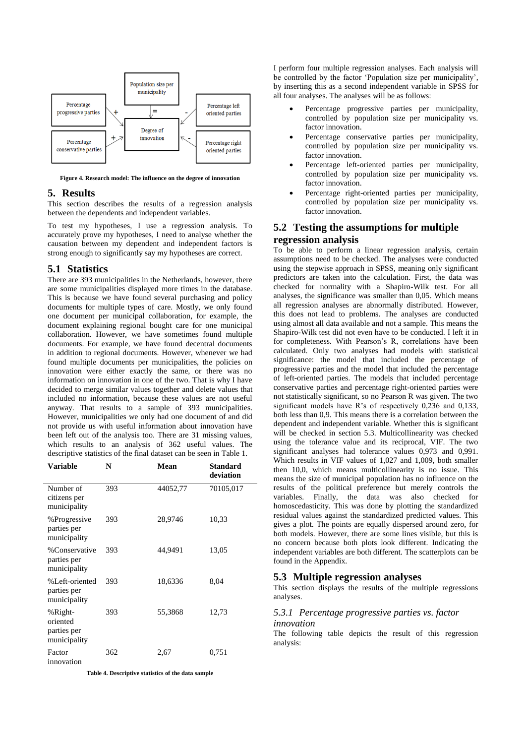

**Figure 4. Research model: The influence on the degree of innovation**

#### **5. Results**

This section describes the results of a regression analysis between the dependents and independent variables.

To test my hypotheses, I use a regression analysis. To accurately prove my hypotheses, I need to analyse whether the causation between my dependent and independent factors is strong enough to significantly say my hypotheses are correct.

#### **5.1 Statistics**

There are 393 municipalities in the Netherlands, however, there are some municipalities displayed more times in the database. This is because we have found several purchasing and policy documents for multiple types of care. Mostly, we only found one document per municipal collaboration, for example, the document explaining regional bought care for one municipal collaboration. However, we have sometimes found multiple documents. For example, we have found decentral documents in addition to regional documents. However, whenever we had found multiple documents per municipalities, the policies on innovation were either exactly the same, or there was no information on innovation in one of the two. That is why I have decided to merge similar values together and delete values that included no information, because these values are not useful anyway. That results to a sample of 393 municipalities. However, municipalities we only had one document of and did not provide us with useful information about innovation have been left out of the analysis too. There are 31 missing values, which results to an analysis of 362 useful values. The descriptive statistics of the final dataset can be seen in Table 1.

| Variable                                           | N   | Mean     | <b>Standard</b><br>deviation |
|----------------------------------------------------|-----|----------|------------------------------|
| Number of<br>citizens per<br>municipality          | 393 | 44052,77 | 70105,017                    |
| %Progressive<br>parties per<br>municipality        | 393 | 28,9746  | 10,33                        |
| %Conservative<br>parties per<br>municipality       | 393 | 44,9491  | 13,05                        |
| %Left-oriented<br>parties per<br>municipality      | 393 | 18,6336  | 8.04                         |
| %Right-<br>oriented<br>parties per<br>municipality | 393 | 55,3868  | 12,73                        |
| Factor<br>innovation                               | 362 | 2,67     | 0,751                        |

**Table 4. Descriptive statistics of the data sample**

I perform four multiple regression analyses. Each analysis will be controlled by the factor 'Population size per municipality', by inserting this as a second independent variable in SPSS for all four analyses. The analyses will be as follows:

- Percentage progressive parties per municipality, controlled by population size per municipality vs. factor innovation.
- Percentage conservative parties per municipality, controlled by population size per municipality vs. factor innovation.
- Percentage left-oriented parties per municipality, controlled by population size per municipality vs. factor innovation.
- Percentage right-oriented parties per municipality, controlled by population size per municipality vs. factor innovation.

# **5.2 Testing the assumptions for multiple regression analysis**

To be able to perform a linear regression analysis, certain assumptions need to be checked. The analyses were conducted using the stepwise approach in SPSS, meaning only significant predictors are taken into the calculation. First, the data was checked for normality with a Shapiro-Wilk test. For all analyses, the significance was smaller than 0,05. Which means all regression analyses are abnormally distributed. However, this does not lead to problems. The analyses are conducted using almost all data available and not a sample. This means the Shapiro-Wilk test did not even have to be conducted. I left it in for completeness. With Pearson's R, correlations have been calculated. Only two analyses had models with statistical significance: the model that included the percentage of progressive parties and the model that included the percentage of left-oriented parties. The models that included percentage conservative parties and percentage right-oriented parties were not statistically significant, so no Pearson R was given. The two significant models have R's of respectively 0,236 and 0,133, both less than 0,9. This means there is a correlation between the dependent and independent variable. Whether this is significant will be checked in section 5.3. Multicollinearity was checked using the tolerance value and its reciprocal, VIF. The two significant analyses had tolerance values 0,973 and 0,991. Which results in VIF values of 1,027 and 1,009, both smaller then 10,0, which means multicollinearity is no issue. This means the size of municipal population has no influence on the results of the political preference but merely controls the variables. Finally, the data was also checked for homoscedasticity. This was done by plotting the standardized residual values against the standardized predicted values. This gives a plot. The points are equally dispersed around zero, for both models. However, there are some lines visible, but this is no concern because both plots look different. Indicating the independent variables are both different. The scatterplots can be found in the Appendix.

#### **5.3 Multiple regression analyses**

This section displays the results of the multiple regressions analyses.

#### *5.3.1 Percentage progressive parties vs. factor innovation*

The following table depicts the result of this regression analysis: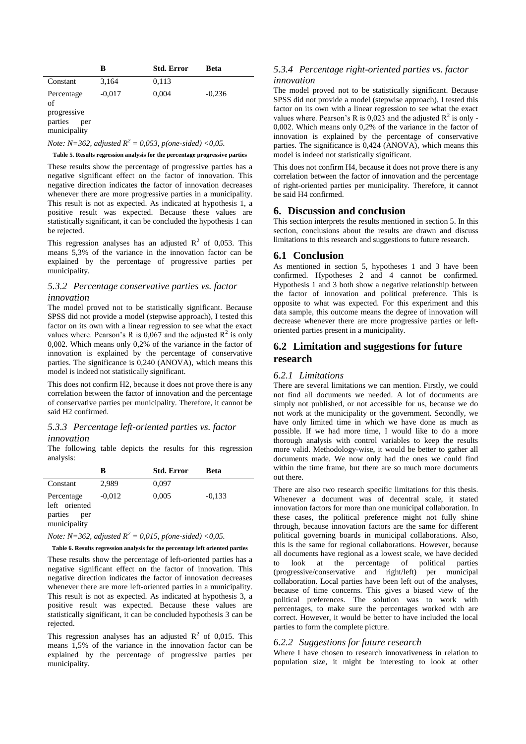|                                                                   | B        | <b>Std. Error</b> | Beta     |
|-------------------------------------------------------------------|----------|-------------------|----------|
| Constant                                                          | 3,164    | 0,113             |          |
| Percentage<br>of<br>progressive<br>parties<br>per<br>municipality | $-0.017$ | 0,004             | $-0,236$ |

*Note:*  $N=362$ , *adjusted*  $R^2 = 0.053$ , *p*(*one-sided*) <0.05.

#### **Table 5. Results regression analysis for the percentage progressive parties**

These results show the percentage of progressive parties has a negative significant effect on the factor of innovation. This negative direction indicates the factor of innovation decreases whenever there are more progressive parties in a municipality. This result is not as expected. As indicated at hypothesis 1, a positive result was expected. Because these values are statistically significant, it can be concluded the hypothesis 1 can be rejected.

This regression analyses has an adjusted  $\mathbb{R}^2$  of 0,053. This means 5,3% of the variance in the innovation factor can be explained by the percentage of progressive parties per municipality.

#### *5.3.2 Percentage conservative parties vs. factor innovation*

The model proved not to be statistically significant. Because SPSS did not provide a model (stepwise approach), I tested this factor on its own with a linear regression to see what the exact values where. Pearson's R is  $0.067$  and the adjusted  $R^2$  is only 0,002. Which means only 0,2% of the variance in the factor of innovation is explained by the percentage of conservative parties. The significance is 0,240 (ANOVA), which means this model is indeed not statistically significant.

This does not confirm H2, because it does not prove there is any correlation between the factor of innovation and the percentage of conservative parties per municipality. Therefore, it cannot be said H2 confirmed.

#### *5.3.3 Percentage left-oriented parties vs. factor innovation*

The following table depicts the results for this regression analysis:

|                                                               | в        | <b>Std. Error</b> | Beta     |
|---------------------------------------------------------------|----------|-------------------|----------|
| Constant                                                      | 2,989    | 0,097             |          |
| Percentage<br>left oriented<br>parties<br>per<br>municipality | $-0.012$ | 0,005             | $-0.133$ |

*Note:*  $N=362$ , *adjusted*  $R^2 = 0.015$ , *p*(*one-sided*) <0.05.

#### **Table 6. Results regression analysis for the percentage left oriented parties**

These results show the percentage of left-oriented parties has a negative significant effect on the factor of innovation. This negative direction indicates the factor of innovation decreases whenever there are more left-oriented parties in a municipality. This result is not as expected. As indicated at hypothesis 3, a positive result was expected. Because these values are statistically significant, it can be concluded hypothesis 3 can be rejected.

This regression analyses has an adjusted  $\mathbb{R}^2$  of 0,015. This means 1,5% of the variance in the innovation factor can be explained by the percentage of progressive parties per municipality.

#### *5.3.4 Percentage right-oriented parties vs. factor innovation*

The model proved not to be statistically significant. Because SPSS did not provide a model (stepwise approach), I tested this factor on its own with a linear regression to see what the exact values where. Pearson's R is  $0.023$  and the adjusted  $R^2$  is only -0,002. Which means only 0,2% of the variance in the factor of innovation is explained by the percentage of conservative parties. The significance is 0,424 (ANOVA), which means this model is indeed not statistically significant.

This does not confirm H4, because it does not prove there is any correlation between the factor of innovation and the percentage of right-oriented parties per municipality. Therefore, it cannot be said H4 confirmed.

#### **6. Discussion and conclusion**

This section interprets the results mentioned in section 5. In this section, conclusions about the results are drawn and discuss limitations to this research and suggestions to future research.

#### **6.1 Conclusion**

As mentioned in section 5, hypotheses 1 and 3 have been confirmed. Hypotheses 2 and 4 cannot be confirmed. Hypothesis 1 and 3 both show a negative relationship between the factor of innovation and political preference. This is opposite to what was expected. For this experiment and this data sample, this outcome means the degree of innovation will decrease whenever there are more progressive parties or leftoriented parties present in a municipality.

# **6.2 Limitation and suggestions for future research**

#### *6.2.1 Limitations*

There are several limitations we can mention. Firstly, we could not find all documents we needed. A lot of documents are simply not published, or not accessible for us, because we do not work at the municipality or the government. Secondly, we have only limited time in which we have done as much as possible. If we had more time, I would like to do a more thorough analysis with control variables to keep the results more valid. Methodology-wise, it would be better to gather all documents made. We now only had the ones we could find within the time frame, but there are so much more documents out there.

There are also two research specific limitations for this thesis. Whenever a document was of decentral scale, it stated innovation factors for more than one municipal collaboration. In these cases, the political preference might not fully shine through, because innovation factors are the same for different political governing boards in municipal collaborations. Also, this is the same for regional collaborations. However, because all documents have regional as a lowest scale, we have decided to look at the percentage of political parties (progressive/conservative and right/left) per municipal collaboration. Local parties have been left out of the analyses, because of time concerns. This gives a biased view of the political preferences. The solution was to work with percentages, to make sure the percentages worked with are correct. However, it would be better to have included the local parties to form the complete picture.

#### *6.2.2 Suggestions for future research*

Where I have chosen to research innovativeness in relation to population size, it might be interesting to look at other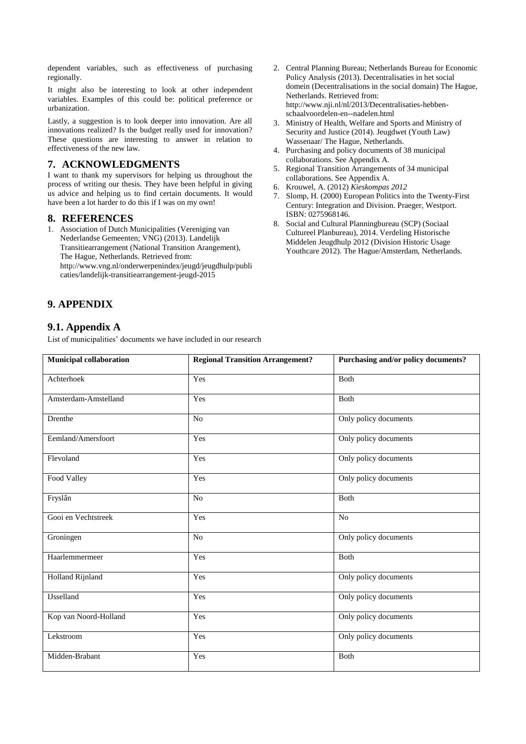dependent variables, such as effectiveness of purchasing regionally.

It might also be interesting to look at other independent variables. Examples of this could be: political preference or urbanization.

Lastly, a suggestion is to look deeper into innovation. Are all innovations realized? Is the budget really used for innovation? These questions are interesting to answer in relation to effectiveness of the new law.

# **7. ACKNOWLEDGMENTS**

I want to thank my supervisors for helping us throughout the process of writing our thesis. They have been helpful in giving us advice and helping us to find certain documents. It would have been a lot harder to do this if I was on my own!

## **8. REFERENCES**

- 1. Association of Dutch Municipalities (Vereniging van Nederlandse Gemeenten; VNG) (2013). Landelijk Transitiearrangement (National Transition Arangement), The Hague, Netherlands. Retrieved from: http://www.vng.nl/onderwerpenindex/jeugd/jeugdhulp/publi caties/landelijk-transitiearrangement-jeugd-2015
- **9. APPENDIX**

# **9.1. Appendix A**

List of municipalities' documents we have included in our research

- 2. Central Planning Bureau; Netherlands Bureau for Economic Policy Analysis (2013). Decentralisaties in het social domein (Decentralisations in the social domain) The Hague, Netherlands. Retrieved from: http://www.nji.nl/nl/2013/Decentralisaties-hebbenschaalvoordelen-en--nadelen.html
- 3. Ministry of Health, Welfare and Sports and Ministry of Security and Justice (2014). Jeugdwet (Youth Law) Wassenaar/ The Hague, Netherlands.
- 4. Purchasing and policy documents of 38 municipal collaborations. See Appendix A.
- 5. Regional Transition Arrangements of 34 municipal collaborations. See Appendix A.
- 6. Krouwel, A. (2012) *Kieskompas 2012*
- 7. Slomp, H. (2000) European Politics into the Twenty-First Century: Integration and Division. Praeger, Westport. ISBN: 0275968146.
- 8. Social and Cultural Planningbureau (SCP) (Sociaal Cultureel Planbureau), 2014. Verdeling Historische Middelen Jeugdhulp 2012 (Division Historic Usage Youthcare 2012). The Hague/Amsterdam, Netherlands.

| <b>Municipal collaboration</b> | <b>Regional Transition Arrangement?</b> | Purchasing and/or policy documents? |
|--------------------------------|-----------------------------------------|-------------------------------------|
| Achterhoek                     | Yes                                     | <b>B</b> oth                        |
| Amsterdam-Amstelland           | Yes                                     | Both                                |
| Drenthe                        | No                                      | Only policy documents               |
| Eemland/Amersfoort             | Yes                                     | Only policy documents               |
| Flevoland                      | Yes                                     | Only policy documents               |
| Food Valley                    | Yes                                     | Only policy documents               |
| Fryslân                        | N <sub>o</sub>                          | Both                                |
| Gooi en Vechtstreek            | Yes                                     | N <sub>o</sub>                      |
| Groningen                      | N <sub>o</sub>                          | Only policy documents               |
| Haarlemmermeer                 | Yes                                     | <b>Both</b>                         |
| Holland Rijnland               | Yes                                     | Only policy documents               |
| <b>IJsselland</b>              | Yes                                     | Only policy documents               |
| Kop van Noord-Holland          | Yes                                     | Only policy documents               |
| Lekstroom                      | Yes                                     | Only policy documents               |
| Midden-Brabant                 | Yes                                     | Both                                |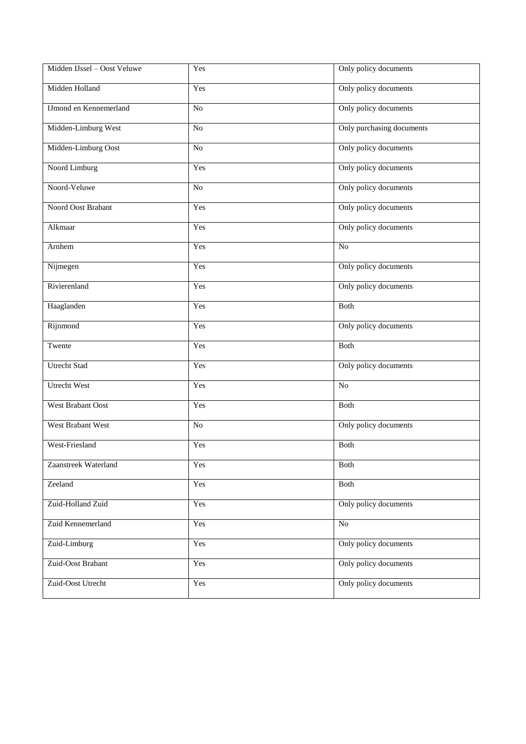| Midden IJssel - Oost Veluwe   | Yes             | Only policy documents     |  |
|-------------------------------|-----------------|---------------------------|--|
| Midden Holland                | Yes             | Only policy documents     |  |
| <b>IJmond en Kennemerland</b> | $\rm No$        | Only policy documents     |  |
| Midden-Limburg West           | No              | Only purchasing documents |  |
| Midden-Limburg Oost           | $\overline{No}$ | Only policy documents     |  |
| Noord Limburg                 | Yes             | Only policy documents     |  |
| Noord-Veluwe                  | $\rm No$        | Only policy documents     |  |
| Noord Oost Brabant            | Yes             | Only policy documents     |  |
| Alkmaar                       | Yes             | Only policy documents     |  |
| Arnhem                        | Yes             | $\overline{No}$           |  |
| Nijmegen                      | Yes             | Only policy documents     |  |
| Rivierenland                  | Yes             | Only policy documents     |  |
| Haaglanden                    | Yes             | Both                      |  |
| Rijnmond                      | Yes             | Only policy documents     |  |
| Twente                        | Yes             | Both                      |  |
| Utrecht Stad                  | Yes             | Only policy documents     |  |
| <b>Utrecht West</b>           | Yes             | No                        |  |
| <b>West Brabant Oost</b>      | Yes             | <b>Both</b>               |  |
| West Brabant West             | No              | Only policy documents     |  |
| West-Friesland                | Yes             | Both                      |  |
| Zaanstreek Waterland          | Yes             | Both                      |  |
| Zeeland                       | Yes             | Both                      |  |
| Zuid-Holland Zuid             | Yes             | Only policy documents     |  |
| Zuid Kennemerland             | Yes             | $\rm No$                  |  |
| Zuid-Limburg                  | Yes             | Only policy documents     |  |
| Zuid-Oost Brabant             | Yes             | Only policy documents     |  |
| Zuid-Oost Utrecht             | Yes             | Only policy documents     |  |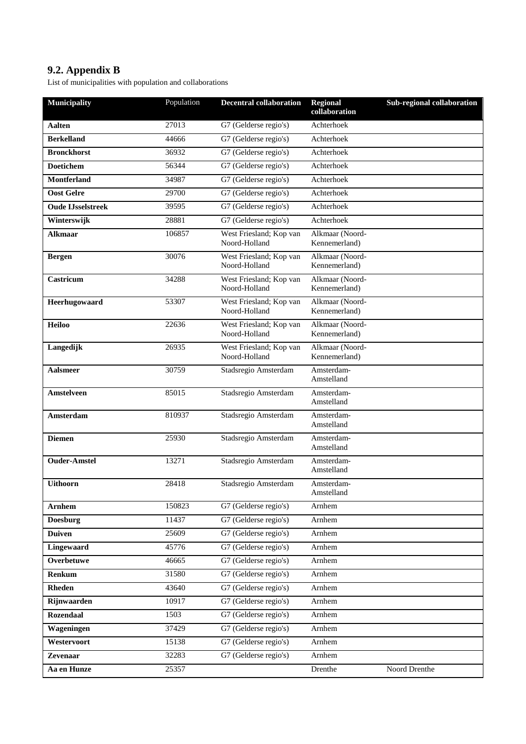# **9.2. Appendix B**

List of municipalities with population and collaborations

| <b>Municipality</b>      | Population | <b>Decentral collaboration</b>           | <b>Regional</b><br>collaboration | Sub-regional collaboration |
|--------------------------|------------|------------------------------------------|----------------------------------|----------------------------|
| <b>Aalten</b>            | 27013      | G7 (Gelderse regio's)                    | Achterhoek                       |                            |
| <b>Berkelland</b>        | 44666      | G7 (Gelderse regio's)                    | Achterhoek                       |                            |
| <b>Bronckhorst</b>       | 36932      | G7 (Gelderse regio's)                    | Achterhoek                       |                            |
| <b>Doetichem</b>         | 56344      | G7 (Gelderse regio's)                    | Achterhoek                       |                            |
| <b>Montferland</b>       | 34987      | G7 (Gelderse regio's)                    | Achterhoek                       |                            |
| <b>Oost Gelre</b>        | 29700      | G7 (Gelderse regio's)                    | Achterhoek                       |                            |
| <b>Oude LIsselstreek</b> | 39595      | G7 (Gelderse regio's)                    | Achterhoek                       |                            |
| Winterswijk              | 28881      | G7 (Gelderse regio's)                    | Achterhoek                       |                            |
| <b>Alkmaar</b>           | 106857     | West Friesland; Kop van<br>Noord-Holland | Alkmaar (Noord-<br>Kennemerland) |                            |
| <b>Bergen</b>            | 30076      | West Friesland; Kop van<br>Noord-Holland | Alkmaar (Noord-<br>Kennemerland) |                            |
| Castricum                | 34288      | West Friesland; Kop van<br>Noord-Holland | Alkmaar (Noord-<br>Kennemerland) |                            |
| Heerhugowaard            | 53307      | West Friesland; Kop van<br>Noord-Holland | Alkmaar (Noord-<br>Kennemerland) |                            |
| <b>Heiloo</b>            | 22636      | West Friesland; Kop van<br>Noord-Holland | Alkmaar (Noord-<br>Kennemerland) |                            |
| Langedijk                | 26935      | West Friesland; Kop van<br>Noord-Holland | Alkmaar (Noord-<br>Kennemerland) |                            |
| <b>Aalsmeer</b>          | 30759      | Stadsregio Amsterdam                     | Amsterdam-<br>Amstelland         |                            |
| Amstelveen               | 85015      | Stadsregio Amsterdam                     | Amsterdam-<br>Amstelland         |                            |
| Amsterdam                | 810937     | Stadsregio Amsterdam                     | Amsterdam-<br>Amstelland         |                            |
| <b>Diemen</b>            | 25930      | Stadsregio Amsterdam                     | Amsterdam-<br>Amstelland         |                            |
| <b>Ouder-Amstel</b>      | 13271      | Stadsregio Amsterdam                     | Amsterdam-<br>Amstelland         |                            |
| <b>Uithoorn</b>          | 28418      | Stadsregio Amsterdam                     | Amsterdam-<br>Amstelland         |                            |
| <b>Arnhem</b>            | 150823     | G7 (Gelderse regio's)                    | Arnhem                           |                            |
| <b>Doesburg</b>          | 11437      | G7 (Gelderse regio's)                    | Arnhem                           |                            |
| <b>Duiven</b>            | 25609      | G7 (Gelderse regio's)                    | Arnhem                           |                            |
| <b>Lingewaard</b>        | 45776      | G7 (Gelderse regio's)                    | Arnhem                           |                            |
| Overbetuwe               | 46665      | G7 (Gelderse regio's)                    | Arnhem                           |                            |
| Renkum                   | 31580      | G7 (Gelderse regio's)                    | Arnhem                           |                            |
| Rheden                   | 43640      | G7 (Gelderse regio's)                    | Arnhem                           |                            |
| Rijnwaarden              | 10917      | G7 (Gelderse regio's)                    | Arnhem                           |                            |
| <b>Rozendaal</b>         | 1503       | G7 (Gelderse regio's)                    | Arnhem                           |                            |
| Wageningen               | 37429      | G7 (Gelderse regio's)                    | Arnhem                           |                            |
| Westervoort              | 15138      | G7 (Gelderse regio's)                    | Arnhem                           |                            |
| Zevenaar                 | 32283      | G7 (Gelderse regio's)                    | Arnhem                           |                            |
| Aa en Hunze              | 25357      |                                          | Drenthe                          | Noord Drenthe              |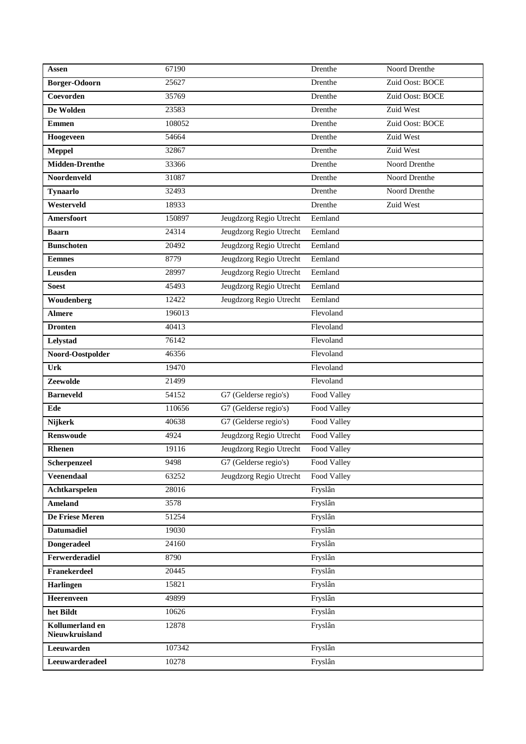| Assen                             | 67190  |                         | Drenthe     | Noord Drenthe   |
|-----------------------------------|--------|-------------------------|-------------|-----------------|
| <b>Borger-Odoorn</b>              | 25627  |                         | Drenthe     | Zuid Oost: BOCE |
| Coevorden                         | 35769  |                         | Drenthe     | Zuid Oost: BOCE |
| De Wolden                         | 23583  |                         | Drenthe     | Zuid West       |
| <b>Emmen</b>                      | 108052 |                         | Drenthe     | Zuid Oost: BOCE |
| Hoogeveen                         | 54664  |                         | Drenthe     | Zuid West       |
| <b>Meppel</b>                     | 32867  |                         | Drenthe     | Zuid West       |
| <b>Midden-Drenthe</b>             | 33366  |                         | Drenthe     | Noord Drenthe   |
| Noordenveld                       | 31087  |                         | Drenthe     | Noord Drenthe   |
| <b>Tynaarlo</b>                   | 32493  |                         | Drenthe     | Noord Drenthe   |
| Westerveld                        | 18933  |                         | Drenthe     | Zuid West       |
| Amersfoort                        | 150897 | Jeugdzorg Regio Utrecht | Eemland     |                 |
| <b>Baarn</b>                      | 24314  | Jeugdzorg Regio Utrecht | Eemland     |                 |
| <b>Bunschoten</b>                 | 20492  | Jeugdzorg Regio Utrecht | Eemland     |                 |
| <b>Eemnes</b>                     | 8779   | Jeugdzorg Regio Utrecht | Eemland     |                 |
| Leusden                           | 28997  | Jeugdzorg Regio Utrecht | Eemland     |                 |
| <b>Soest</b>                      | 45493  | Jeugdzorg Regio Utrecht | Eemland     |                 |
| Woudenberg                        | 12422  | Jeugdzorg Regio Utrecht | Eemland     |                 |
| <b>Almere</b>                     | 196013 |                         | Flevoland   |                 |
| <b>Dronten</b>                    | 40413  |                         | Flevoland   |                 |
| Lelystad                          | 76142  |                         | Flevoland   |                 |
| Noord-Oostpolder                  | 46356  |                         | Flevoland   |                 |
| Urk                               | 19470  |                         | Flevoland   |                 |
| Zeewolde                          | 21499  |                         | Flevoland   |                 |
| <b>Barneveld</b>                  | 54152  | G7 (Gelderse regio's)   | Food Valley |                 |
| Ede                               | 110656 | G7 (Gelderse regio's)   | Food Valley |                 |
| Nijkerk                           | 40638  | G7 (Gelderse regio's)   | Food Valley |                 |
| <b>Renswoude</b>                  | 4924   | Jeugdzorg Regio Utrecht | Food Valley |                 |
| Rhenen                            | 19116  | Jeugdzorg Regio Utrecht | Food Valley |                 |
| Scherpenzeel                      | 9498   | G7 (Gelderse regio's)   | Food Valley |                 |
| <b>Veenendaal</b>                 | 63252  | Jeugdzorg Regio Utrecht | Food Valley |                 |
| <b>Achtkarspelen</b>              | 28016  |                         | Fryslân     |                 |
| <b>Ameland</b>                    | 3578   |                         | Fryslân     |                 |
| De Friese Meren                   | 51254  |                         | Fryslân     |                 |
| <b>Datumadiel</b>                 | 19030  |                         | Fryslân     |                 |
| <b>Dongeradeel</b>                | 24160  |                         | Fryslân     |                 |
| Ferwerderadiel                    | 8790   |                         | Fryslân     |                 |
| Franekerdeel                      | 20445  |                         | Fryslân     |                 |
| Harlingen                         | 15821  |                         | Fryslân     |                 |
| Heerenveen                        | 49899  |                         | Fryslân     |                 |
| het Bildt                         | 10626  |                         | Fryslân     |                 |
| Kollumerland en<br>Nieuwkruisland | 12878  |                         | Fryslân     |                 |
| Leeuwarden                        | 107342 |                         | Fryslân     |                 |
| Leeuwarderadeel                   | 10278  |                         | Fryslân     |                 |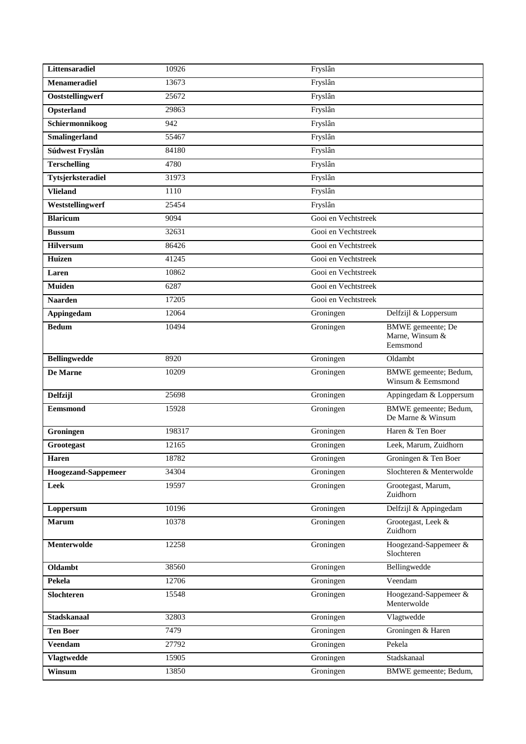| Littensaradiel             | 10926  | Fryslân             |                                                  |
|----------------------------|--------|---------------------|--------------------------------------------------|
| Menameradiel               | 13673  | Fryslân             |                                                  |
| Ooststellingwerf           | 25672  | Fryslân             |                                                  |
| Opsterland                 | 29863  | Fryslân             |                                                  |
| Schiermonnikoog            | 942    | Fryslân             |                                                  |
| Smalingerland              | 55467  | Fryslân             |                                                  |
| Súdwest Fryslân            | 84180  | Fryslân             |                                                  |
| <b>Terschelling</b>        | 4780   | Fryslân             |                                                  |
| Tytsjerksteradiel          | 31973  | Fryslân             |                                                  |
| <b>Vlieland</b>            | 1110   | Fryslân             |                                                  |
| Weststellingwerf           | 25454  | Fryslân             |                                                  |
| <b>Blaricum</b>            | 9094   | Gooi en Vechtstreek |                                                  |
| <b>Bussum</b>              | 32631  | Gooi en Vechtstreek |                                                  |
| <b>Hilversum</b>           | 86426  | Gooi en Vechtstreek |                                                  |
| Huizen                     | 41245  | Gooi en Vechtstreek |                                                  |
| Laren                      | 10862  | Gooi en Vechtstreek |                                                  |
| <b>Muiden</b>              | 6287   | Gooi en Vechtstreek |                                                  |
| <b>Naarden</b>             | 17205  | Gooi en Vechtstreek |                                                  |
| Appingedam                 | 12064  | Groningen           | Delfzijl & Loppersum                             |
| <b>Bedum</b>               | 10494  | Groningen           | BMWE gemeente; De<br>Marne, Winsum &<br>Eemsmond |
| <b>Bellingwedde</b>        | 8920   | Groningen           | Oldambt                                          |
| De Marne                   | 10209  | Groningen           | BMWE gemeente; Bedum,<br>Winsum & Eemsmond       |
| Delfzijl                   | 25698  | Groningen           | Appingedam & Loppersum                           |
| <b>Eemsmond</b>            | 15928  | Groningen           | BMWE gemeente; Bedum,<br>De Marne & Winsum       |
| Groningen                  | 198317 | Groningen           | Haren & Ten Boer                                 |
| Grootegast                 | 12165  | Groningen           | Leek, Marum, Zuidhorn                            |
| <b>Haren</b>               | 18782  | Groningen           | Groningen & Ten Boer                             |
| <b>Hoogezand-Sappemeer</b> | 34304  | Groningen           | Slochteren & Menterwolde                         |
| Leek                       | 19597  | Groningen           | Grootegast, Marum,<br>Zuidhorn                   |
| Loppersum                  | 10196  | Groningen           | Delfzijl & Appingedam                            |
| <b>Marum</b>               | 10378  | Groningen           | Grootegast, Leek &<br>Zuidhorn                   |
| Menterwolde                | 12258  | Groningen           | Hoogezand-Sappemeer &<br>Slochteren              |
| Oldambt                    | 38560  | Groningen           | Bellingwedde                                     |
| Pekela                     | 12706  | Groningen           | Veendam                                          |
| Slochteren                 | 15548  | Groningen           | Hoogezand-Sappemeer &<br>Menterwolde             |
| <b>Stadskanaal</b>         | 32803  | Groningen           | Vlagtwedde                                       |
| <b>Ten Boer</b>            | 7479   | Groningen           | Groningen & Haren                                |
| <b>Veendam</b>             | 27792  | Groningen           | Pekela                                           |
| <b>Vlagtwedde</b>          | 15905  | Groningen           | Stadskanaal                                      |
| Winsum                     | 13850  | Groningen           | BMWE gemeente; Bedum,                            |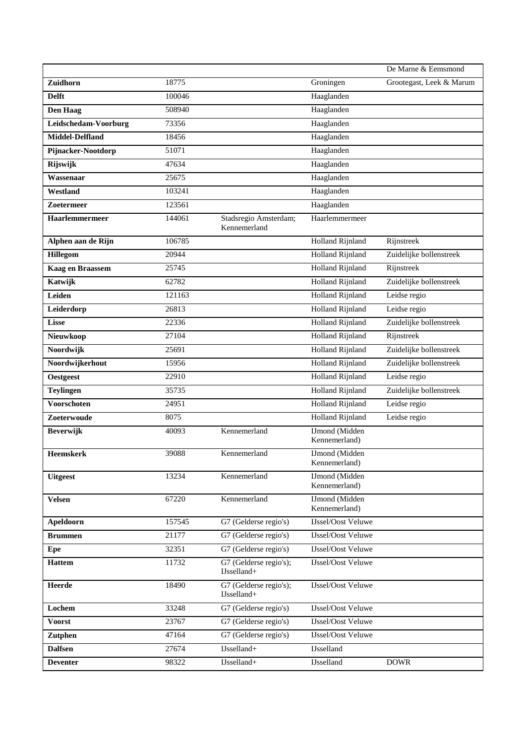|                        |        |                                         |                                        | De Marne & Eemsmond      |
|------------------------|--------|-----------------------------------------|----------------------------------------|--------------------------|
| Zuidhorn               | 18775  |                                         | Groningen                              | Grootegast, Leek & Marum |
| <b>Delft</b>           | 100046 |                                         | Haaglanden                             |                          |
| <b>Den Haag</b>        | 508940 |                                         | Haaglanden                             |                          |
| Leidschedam-Voorburg   | 73356  |                                         | Haaglanden                             |                          |
| <b>Middel-Delfland</b> | 18456  |                                         | Haaglanden                             |                          |
| Pijnacker-Nootdorp     | 51071  |                                         | Haaglanden                             |                          |
| Rijswijk               | 47634  |                                         | Haaglanden                             |                          |
| Wassenaar              | 25675  |                                         | Haaglanden                             |                          |
| Westland               | 103241 |                                         | Haaglanden                             |                          |
| Zoetermeer             | 123561 |                                         | Haaglanden                             |                          |
| Haarlemmermeer         | 144061 | Stadsregio Amsterdam;<br>Kennemerland   | Haarlemmermeer                         |                          |
| Alphen aan de Rijn     | 106785 |                                         | <b>Holland Rijnland</b>                | Rijnstreek               |
| <b>Hillegom</b>        | 20944  |                                         | <b>Holland Rijnland</b>                | Zuidelijke bollenstreek  |
| Kaag en Braassem       | 25745  |                                         | <b>Holland Rijnland</b>                | Rijnstreek               |
| Katwijk                | 62782  |                                         | <b>Holland Rijnland</b>                | Zuidelijke bollenstreek  |
| Leiden                 | 121163 |                                         | <b>Holland Rijnland</b>                | Leidse regio             |
| Leiderdorp             | 26813  |                                         | <b>Holland Rijnland</b>                | Leidse regio             |
| <b>Lisse</b>           | 22336  |                                         | <b>Holland Rijnland</b>                | Zuidelijke bollenstreek  |
| Nieuwkoop              | 27104  |                                         | <b>Holland Rijnland</b>                | Rijnstreek               |
| Noordwijk              | 25691  |                                         | Holland Rijnland                       | Zuidelijke bollenstreek  |
| Noordwijkerhout        | 15956  |                                         | <b>Holland Rijnland</b>                | Zuidelijke bollenstreek  |
| <b>Oestgeest</b>       | 22910  |                                         | Holland Rijnland                       | Leidse regio             |
| <b>Teylingen</b>       | 35735  |                                         | <b>Holland Rijnland</b>                | Zuidelijke bollenstreek  |
| <b>Voorschoten</b>     | 24951  |                                         | <b>Holland Rijnland</b>                | Leidse regio             |
| Zoeterwoude            | 8075   |                                         | <b>Holland Rijnland</b>                | Leidse regio             |
| <b>Beverwijk</b>       | 40093  | Kennemerland                            | <b>IJmond</b> (Midden<br>Kennemerland) |                          |
| <b>Heemskerk</b>       | 39088  | Kennemerland                            | <b>IJmond</b> (Midden<br>Kennemerland) |                          |
| <b>Uitgeest</b>        | 13234  | Kennemerland                            | <b>IJmond</b> (Midden<br>Kennemerland) |                          |
| <b>Velsen</b>          | 67220  | Kennemerland                            | <b>IJmond</b> (Midden<br>Kennemerland) |                          |
| Apeldoorn              | 157545 | G7 (Gelderse regio's)                   | <b>IJssel/Oost Veluwe</b>              |                          |
| <b>Brummen</b>         | 21177  | G7 (Gelderse regio's)                   | <b>IJssel/Oost Veluwe</b>              |                          |
| Epe                    | 32351  | G7 (Gelderse regio's)                   | <b>IJssel/Oost Veluwe</b>              |                          |
| <b>Hattem</b>          | 11732  | G7 (Gelderse regio's);<br>IJsselland+   | <b>Ussel/Oost Veluwe</b>               |                          |
| <b>Heerde</b>          | 18490  | G7 (Gelderse regio's);<br>$IJsselland+$ | <b>IJssel/Oost Veluwe</b>              |                          |
| Lochem                 | 33248  | G7 (Gelderse regio's)                   | <b>IJssel/Oost Veluwe</b>              |                          |
| <b>Voorst</b>          | 23767  | G7 (Gelderse regio's)                   | <b>IJssel/Oost Veluwe</b>              |                          |
| Zutphen                | 47164  | G7 (Gelderse regio's)                   | <b>IJssel/Oost Veluwe</b>              |                          |
| <b>Dalfsen</b>         | 27674  | IJsselland+                             | <b>IJsselland</b>                      |                          |
| <b>Deventer</b>        | 98322  | IJsselland+                             | <b>IJsselland</b>                      | <b>DOWR</b>              |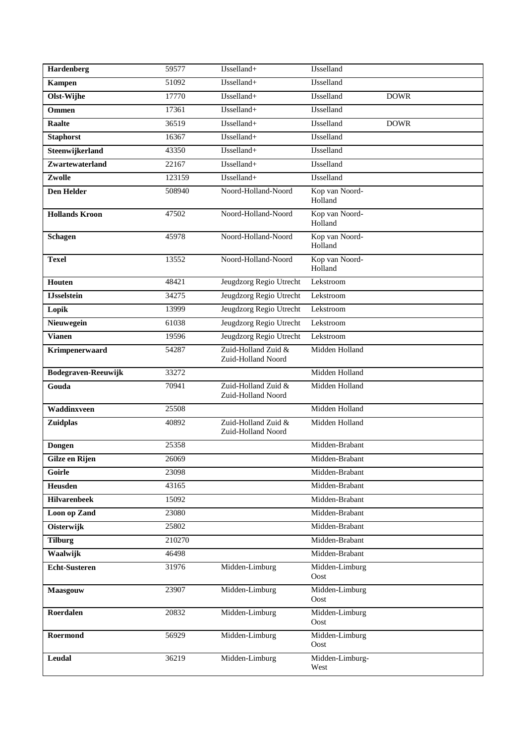| Hardenberg            | 59577  | IJsselland+                               | <b>IJsselland</b>         |             |
|-----------------------|--------|-------------------------------------------|---------------------------|-------------|
| <b>Kampen</b>         | 51092  | IJsselland+                               | <b>IJsselland</b>         |             |
| Olst-Wijhe            | 17770  | IJsselland+                               | <b>IJsselland</b>         | <b>DOWR</b> |
| <b>Ommen</b>          | 17361  | IJsselland+                               | <b>Usselland</b>          |             |
| <b>Raalte</b>         | 36519  | IJsselland+                               | <b>IJsselland</b>         | <b>DOWR</b> |
| <b>Staphorst</b>      | 16367  | IJsselland+                               | <b>IJsselland</b>         |             |
| Steenwijkerland       | 43350  | IJsselland+                               | <b>IJsselland</b>         |             |
| Zwartewaterland       | 22167  | $IJsselland+$                             | <b>Usselland</b>          |             |
| Zwolle                | 123159 | IJsselland+                               | <b>IJsselland</b>         |             |
| <b>Den Helder</b>     | 508940 | Noord-Holland-Noord                       | Kop van Noord-<br>Holland |             |
| <b>Hollands Kroon</b> | 47502  | Noord-Holland-Noord                       | Kop van Noord-<br>Holland |             |
| <b>Schagen</b>        | 45978  | Noord-Holland-Noord                       | Kop van Noord-<br>Holland |             |
| <b>Texel</b>          | 13552  | Noord-Holland-Noord                       | Kop van Noord-<br>Holland |             |
| Houten                | 48421  | Jeugdzorg Regio Utrecht                   | Lekstroom                 |             |
| <b>IJsselstein</b>    | 34275  | Jeugdzorg Regio Utrecht                   | Lekstroom                 |             |
| Lopik                 | 13999  | Jeugdzorg Regio Utrecht                   | Lekstroom                 |             |
| Nieuwegein            | 61038  | Jeugdzorg Regio Utrecht                   | Lekstroom                 |             |
| <b>Vianen</b>         | 19596  | Jeugdzorg Regio Utrecht                   | Lekstroom                 |             |
| Krimpenerwaard        | 54287  | Zuid-Holland Zuid &<br>Zuid-Holland Noord | Midden Holland            |             |
| Bodegraven-Reeuwijk   | 33272  |                                           | Midden Holland            |             |
| Gouda                 | 70941  | Zuid-Holland Zuid &<br>Zuid-Holland Noord | Midden Holland            |             |
| Waddinxveen           | 25508  |                                           | Midden Holland            |             |
| Zuidplas              | 40892  | Zuid-Holland Zuid &<br>Zuid-Holland Noord | Midden Holland            |             |
| <b>Dongen</b>         | 25358  |                                           | Midden-Brabant            |             |
| Gilze en Rijen        | 26069  |                                           | Midden-Brabant            |             |
| Goirle                | 23098  |                                           | Midden-Brabant            |             |
| Heusden               | 43165  |                                           | Midden-Brabant            |             |
| <b>Hilvarenbeek</b>   | 15092  |                                           | Midden-Brabant            |             |
| Loon op Zand          | 23080  |                                           | Midden-Brabant            |             |
| Oisterwijk            | 25802  |                                           | Midden-Brabant            |             |
| <b>Tilburg</b>        | 210270 |                                           | Midden-Brabant            |             |
| Waalwijk              | 46498  |                                           | Midden-Brabant            |             |
| <b>Echt-Susteren</b>  | 31976  | Midden-Limburg                            | Midden-Limburg<br>Oost    |             |
| Maasgouw              | 23907  | Midden-Limburg                            | Midden-Limburg<br>Oost    |             |
| Roerdalen             | 20832  | Midden-Limburg                            | Midden-Limburg<br>Oost    |             |
|                       |        |                                           |                           |             |
| Roermond              | 56929  | Midden-Limburg                            | Midden-Limburg<br>Oost    |             |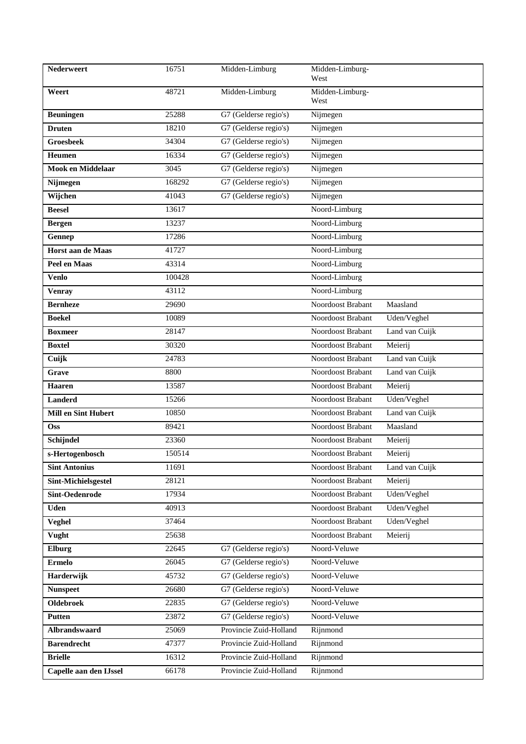| Nederweert                 | 16751  | Midden-Limburg         | Midden-Limburg-<br>West |                |
|----------------------------|--------|------------------------|-------------------------|----------------|
| Weert                      | 48721  | Midden-Limburg         | Midden-Limburg-<br>West |                |
| <b>Beuningen</b>           | 25288  | G7 (Gelderse regio's)  | Nijmegen                |                |
| <b>Druten</b>              | 18210  | G7 (Gelderse regio's)  | Nijmegen                |                |
| <b>Groesbeek</b>           | 34304  | G7 (Gelderse regio's)  | Nijmegen                |                |
| Heumen                     | 16334  | G7 (Gelderse regio's)  | Nijmegen                |                |
| Mook en Middelaar          | 3045   | G7 (Gelderse regio's)  | Nijmegen                |                |
| Nijmegen                   | 168292 | G7 (Gelderse regio's)  | Nijmegen                |                |
| Wijchen                    | 41043  | G7 (Gelderse regio's)  | Nijmegen                |                |
| <b>Beesel</b>              | 13617  |                        | Noord-Limburg           |                |
| <b>Bergen</b>              | 13237  |                        | Noord-Limburg           |                |
| Gennep                     | 17286  |                        | Noord-Limburg           |                |
| Horst aan de Maas          | 41727  |                        | Noord-Limburg           |                |
| Peel en Maas               | 43314  |                        | Noord-Limburg           |                |
| <b>Venlo</b>               | 100428 |                        | Noord-Limburg           |                |
| <b>Venray</b>              | 43112  |                        | Noord-Limburg           |                |
| <b>Bernheze</b>            | 29690  |                        | Noordoost Brabant       | Maasland       |
| <b>Boekel</b>              | 10089  |                        | Noordoost Brabant       | Uden/Veghel    |
| <b>Boxmeer</b>             | 28147  |                        | Noordoost Brabant       | Land van Cuijk |
| <b>Boxtel</b>              | 30320  |                        | Noordoost Brabant       | Meierij        |
| Cuijk                      | 24783  |                        | Noordoost Brabant       | Land van Cuijk |
| Grave                      | 8800   |                        | Noordoost Brabant       | Land van Cuijk |
| <b>Haaren</b>              | 13587  |                        | Noordoost Brabant       | Meierij        |
| <b>Landerd</b>             | 15266  |                        | Noordoost Brabant       | Uden/Veghel    |
| <b>Mill en Sint Hubert</b> | 10850  |                        | Noordoost Brabant       | Land van Cuijk |
| <b>Oss</b>                 | 89421  |                        | Noordoost Brabant       | Maasland       |
| Schijndel                  | 23360  |                        | Noordoost Brabant       | Meierij        |
| s-Hertogenbosch            | 150514 |                        | Noordoost Brabant       | Meierij        |
| <b>Sint Antonius</b>       | 11691  |                        | Noordoost Brabant       | Land van Cuijk |
| Sint-Michielsgestel        | 28121  |                        | Noordoost Brabant       | Meierij        |
| Sint-Oedenrode             | 17934  |                        | Noordoost Brabant       | Uden/Veghel    |
| <b>Uden</b>                | 40913  |                        | Noordoost Brabant       | Uden/Veghel    |
| Veghel                     | 37464  |                        | Noordoost Brabant       | Uden/Veghel    |
| Vught                      | 25638  |                        | Noordoost Brabant       | Meierij        |
| Elburg                     | 22645  | G7 (Gelderse regio's)  | Noord-Veluwe            |                |
| <b>Ermelo</b>              | 26045  | G7 (Gelderse regio's)  | Noord-Veluwe            |                |
| Harderwijk                 | 45732  | G7 (Gelderse regio's)  | Noord-Veluwe            |                |
| <b>Nunspeet</b>            | 26680  | G7 (Gelderse regio's)  | Noord-Veluwe            |                |
| <b>Oldebroek</b>           | 22835  | G7 (Gelderse regio's)  | Noord-Veluwe            |                |
| <b>Putten</b>              | 23872  | G7 (Gelderse regio's)  | Noord-Veluwe            |                |
| Albrandswaard              | 25069  | Provincie Zuid-Holland | Rijnmond                |                |
| <b>Barendrecht</b>         | 47377  | Provincie Zuid-Holland | Rijnmond                |                |
| <b>Brielle</b>             | 16312  | Provincie Zuid-Holland | Rijnmond                |                |
| Capelle aan den IJssel     | 66178  | Provincie Zuid-Holland | Rijnmond                |                |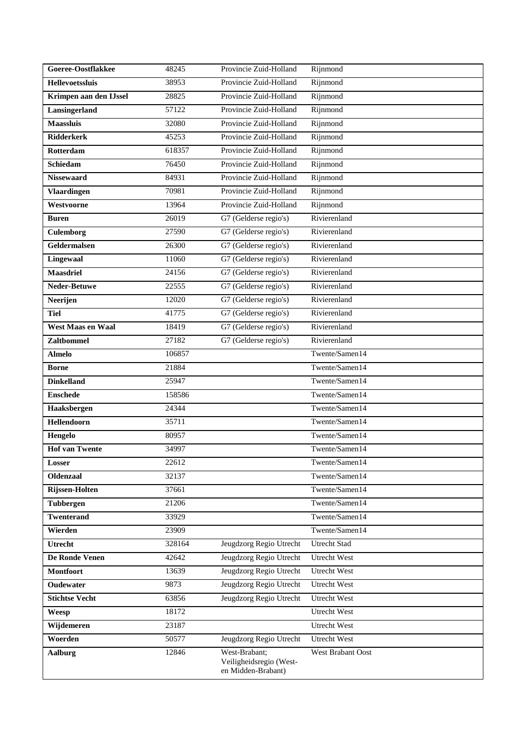| Goeree-Oostflakkee       | 48245  | Provincie Zuid-Holland                                         | Rijnmond            |
|--------------------------|--------|----------------------------------------------------------------|---------------------|
| <b>Hellevoetssluis</b>   | 38953  | Provincie Zuid-Holland                                         | Rijnmond            |
| Krimpen aan den IJssel   | 28825  | Provincie Zuid-Holland                                         | Rijnmond            |
| Lansingerland            | 57122  | Provincie Zuid-Holland                                         | Rijnmond            |
| <b>Maassluis</b>         | 32080  | Provincie Zuid-Holland                                         | Rijnmond            |
| <b>Ridderkerk</b>        | 45253  | Provincie Zuid-Holland                                         | Rijnmond            |
| Rotterdam                | 618357 | Provincie Zuid-Holland                                         | Rijnmond            |
| <b>Schiedam</b>          | 76450  | Provincie Zuid-Holland                                         | Rijnmond            |
| <b>Nissewaard</b>        | 84931  | Provincie Zuid-Holland                                         | Rijnmond            |
| <b>Vlaardingen</b>       | 70981  | Provincie Zuid-Holland                                         | Rijnmond            |
| Westvoorne               | 13964  | Provincie Zuid-Holland                                         | Rijnmond            |
| <b>Buren</b>             | 26019  | G7 (Gelderse regio's)                                          | Rivierenland        |
| <b>Culemborg</b>         | 27590  | G7 (Gelderse regio's)                                          | Rivierenland        |
| Geldermalsen             | 26300  | G7 (Gelderse regio's)                                          | Rivierenland        |
| Lingewaal                | 11060  | G7 (Gelderse regio's)                                          | Rivierenland        |
| <b>Maasdriel</b>         | 24156  | G7 (Gelderse regio's)                                          | Rivierenland        |
| Neder-Betuwe             | 22555  | G7 (Gelderse regio's)                                          | Rivierenland        |
| Neerijen                 | 12020  | G7 (Gelderse regio's)                                          | Rivierenland        |
| <b>Tiel</b>              | 41775  | G7 (Gelderse regio's)                                          | Rivierenland        |
| <b>West Maas en Waal</b> | 18419  | G7 (Gelderse regio's)                                          | Rivierenland        |
| <b>Zaltbommel</b>        | 27182  | G7 (Gelderse regio's)                                          | Rivierenland        |
| <b>Almelo</b>            | 106857 |                                                                | Twente/Samen14      |
| <b>Borne</b>             | 21884  |                                                                | Twente/Samen14      |
| <b>Dinkelland</b>        | 25947  |                                                                | Twente/Samen14      |
| <b>Enschede</b>          | 158586 |                                                                | Twente/Samen14      |
| Haaksbergen              | 24344  |                                                                | Twente/Samen14      |
| Hellendoorn              | 35711  |                                                                | Twente/Samen14      |
| Hengelo                  | 80957  |                                                                | Twente/Samen14      |
| <b>Hof van Twente</b>    | 34997  |                                                                | Twente/Samen14      |
| Losser                   | 22612  |                                                                | Twente/Samen14      |
| <b>Oldenzaal</b>         | 32137  |                                                                | Twente/Samen14      |
| Rijssen-Holten           | 37661  |                                                                | Twente/Samen14      |
| <b>Tubbergen</b>         | 21206  |                                                                | Twente/Samen14      |
| <b>Twenterand</b>        | 33929  |                                                                | Twente/Samen14      |
| Wierden                  | 23909  |                                                                | Twente/Samen14      |
| Utrecht                  | 328164 | Jeugdzorg Regio Utrecht                                        | <b>Utrecht Stad</b> |
| De Ronde Venen           | 42642  | Jeugdzorg Regio Utrecht                                        | <b>Utrecht West</b> |
| <b>Montfoort</b>         | 13639  | Jeugdzorg Regio Utrecht                                        | Utrecht West        |
| Oudewater                | 9873   | Jeugdzorg Regio Utrecht                                        | Utrecht West        |
| <b>Stichtse Vecht</b>    | 63856  | Jeugdzorg Regio Utrecht                                        | Utrecht West        |
| Weesp                    | 18172  |                                                                | Utrecht West        |
| Wijdemeren               | 23187  |                                                                | Utrecht West        |
| Woerden                  | 50577  | Jeugdzorg Regio Utrecht                                        | <b>Utrecht West</b> |
| <b>Aalburg</b>           | 12846  | West-Brabant;<br>Veiligheidsregio (West-<br>en Midden-Brabant) | West Brabant Oost   |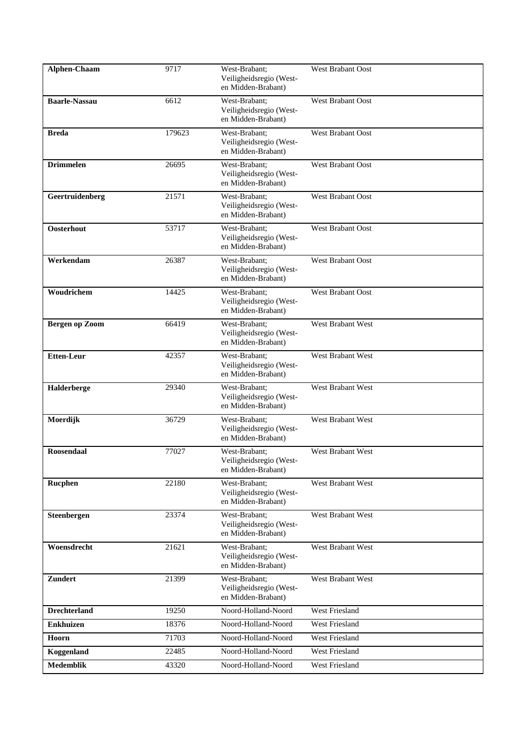| Alphen-Chaam         | 9717   | West-Brabant;<br>Veiligheidsregio (West-<br>en Midden-Brabant) | <b>West Brabant Oost</b> |
|----------------------|--------|----------------------------------------------------------------|--------------------------|
| <b>Baarle-Nassau</b> | 6612   | West-Brabant:<br>Veiligheidsregio (West-<br>en Midden-Brabant) | West Brabant Oost        |
| <b>Breda</b>         | 179623 | West-Brabant:<br>Veiligheidsregio (West-<br>en Midden-Brabant) | <b>West Brabant Oost</b> |
| <b>Drimmelen</b>     | 26695  | West-Brabant:<br>Veiligheidsregio (West-<br>en Midden-Brabant) | <b>West Brabant Oost</b> |
| Geertruidenberg      | 21571  | West-Brabant:<br>Veiligheidsregio (West-<br>en Midden-Brabant) | West Brabant Oost        |
| Oosterhout           | 53717  | West-Brabant:<br>Veiligheidsregio (West-<br>en Midden-Brabant) | West Brabant Oost        |
| Werkendam            | 26387  | West-Brabant;<br>Veiligheidsregio (West-<br>en Midden-Brabant) | West Brabant Oost        |
| Woudrichem           | 14425  | West-Brabant;<br>Veiligheidsregio (West-<br>en Midden-Brabant) | West Brabant Oost        |
| Bergen op Zoom       | 66419  | West-Brabant;<br>Veiligheidsregio (West-<br>en Midden-Brabant) | West Brabant West        |
| <b>Etten-Leur</b>    | 42357  | West-Brabant;<br>Veiligheidsregio (West-<br>en Midden-Brabant) | West Brabant West        |
| Halderberge          | 29340  | West-Brabant;<br>Veiligheidsregio (West-<br>en Midden-Brabant) | West Brabant West        |
| Moerdijk             | 36729  | West-Brabant;<br>Veiligheidsregio (West-<br>en Midden-Brabant) | West Brabant West        |
| <b>Roosendaal</b>    | 77027  | West-Brabant:<br>Veiligheidsregio (West-<br>en Midden-Brabant) | <b>West Brabant West</b> |
| Rucphen              | 22180  | West-Brabant;<br>Veiligheidsregio (West-<br>en Midden-Brabant) | West Brabant West        |
| Steenbergen          | 23374  | West-Brabant;<br>Veiligheidsregio (West-<br>en Midden-Brabant) | West Brabant West        |
| Woensdrecht          | 21621  | West-Brabant;<br>Veiligheidsregio (West-<br>en Midden-Brabant) | West Brabant West        |
| <b>Zundert</b>       | 21399  | West-Brabant;<br>Veiligheidsregio (West-<br>en Midden-Brabant) | West Brabant West        |
| <b>Drechterland</b>  | 19250  | Noord-Holland-Noord                                            | West Friesland           |
| <b>Enkhuizen</b>     | 18376  | Noord-Holland-Noord                                            | West Friesland           |
| Hoorn                | 71703  | Noord-Holland-Noord                                            | West Friesland           |
| Koggenland           | 22485  | Noord-Holland-Noord                                            | <b>West Friesland</b>    |
| <b>Medemblik</b>     | 43320  | Noord-Holland-Noord                                            | West Friesland           |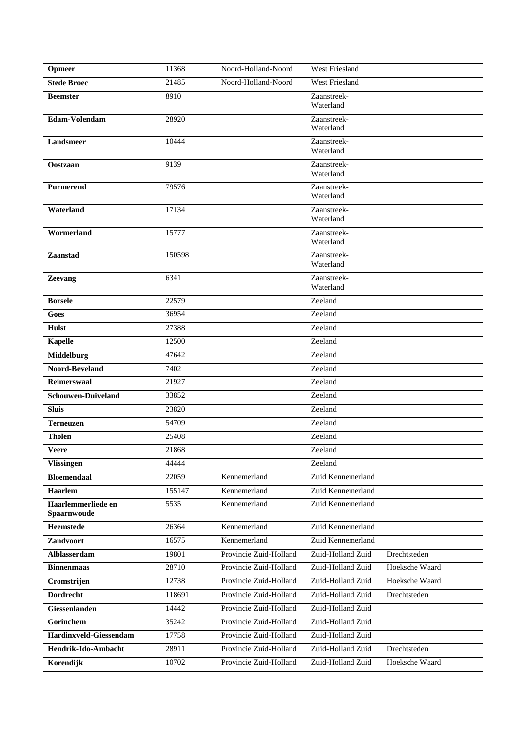| Opmeer                            | 11368  | Noord-Holland-Noord    | <b>West Friesland</b>    |                |
|-----------------------------------|--------|------------------------|--------------------------|----------------|
| <b>Stede Broec</b>                | 21485  | Noord-Holland-Noord    | West Friesland           |                |
| <b>Beemster</b>                   | 8910   |                        | Zaanstreek-<br>Waterland |                |
| Edam-Volendam                     | 28920  |                        | Zaanstreek-<br>Waterland |                |
| Landsmeer                         | 10444  |                        | Zaanstreek-<br>Waterland |                |
| Oostzaan                          | 9139   |                        | Zaanstreek-<br>Waterland |                |
| Purmerend                         | 79576  |                        | Zaanstreek-<br>Waterland |                |
| Waterland                         | 17134  |                        | Zaanstreek-<br>Waterland |                |
| Wormerland                        | 15777  |                        | Zaanstreek-<br>Waterland |                |
| Zaanstad                          | 150598 |                        | Zaanstreek-<br>Waterland |                |
| <b>Zeevang</b>                    | 6341   |                        | Zaanstreek-<br>Waterland |                |
| <b>Borsele</b>                    | 22579  |                        | Zeeland                  |                |
| Goes                              | 36954  |                        | Zeeland                  |                |
| <b>Hulst</b>                      | 27388  |                        | Zeeland                  |                |
| <b>Kapelle</b>                    | 12500  |                        | Zeeland                  |                |
| <b>Middelburg</b>                 | 47642  |                        | Zeeland                  |                |
| Noord-Beveland                    | 7402   |                        | Zeeland                  |                |
| <b>Reimerswaal</b>                | 21927  |                        | Zeeland                  |                |
| <b>Schouwen-Duiveland</b>         | 33852  |                        | Zeeland                  |                |
| <b>Sluis</b>                      | 23820  |                        | Zeeland                  |                |
| <b>Terneuzen</b>                  | 54709  |                        | Zeeland                  |                |
| <b>Tholen</b>                     | 25408  |                        | Zeeland                  |                |
| <b>Veere</b>                      | 21868  |                        | Zeeland                  |                |
| <b>Vlissingen</b>                 | 44444  |                        | Zeeland                  |                |
| <b>Bloemendaal</b>                | 22059  | Kennemerland           | Zuid Kennemerland        |                |
| Haarlem                           | 155147 | Kennemerland           | Zuid Kennemerland        |                |
| Haarlemmerliede en<br>Spaarnwoude | 5535   | Kennemerland           | Zuid Kennemerland        |                |
| <b>Heemstede</b>                  | 26364  | Kennemerland           | Zuid Kennemerland        |                |
| Zandvoort                         | 16575  | Kennemerland           | Zuid Kennemerland        |                |
| Alblasserdam                      | 19801  | Provincie Zuid-Holland | Zuid-Holland Zuid        | Drechtsteden   |
| <b>Binnenmaas</b>                 | 28710  | Provincie Zuid-Holland | Zuid-Holland Zuid        | Hoeksche Waard |
| Cromstrijen                       | 12738  | Provincie Zuid-Holland | Zuid-Holland Zuid        | Hoeksche Waard |
| <b>Dordrecht</b>                  | 118691 | Provincie Zuid-Holland | Zuid-Holland Zuid        | Drechtsteden   |
| Giessenlanden                     | 14442  | Provincie Zuid-Holland | Zuid-Holland Zuid        |                |
| Gorinchem                         | 35242  | Provincie Zuid-Holland | Zuid-Holland Zuid        |                |
| Hardinxveld-Giessendam            | 17758  | Provincie Zuid-Holland | Zuid-Holland Zuid        |                |
| Hendrik-Ido-Ambacht               | 28911  | Provincie Zuid-Holland | Zuid-Holland Zuid        | Drechtsteden   |
| Korendijk                         | 10702  | Provincie Zuid-Holland | Zuid-Holland Zuid        | Hoeksche Waard |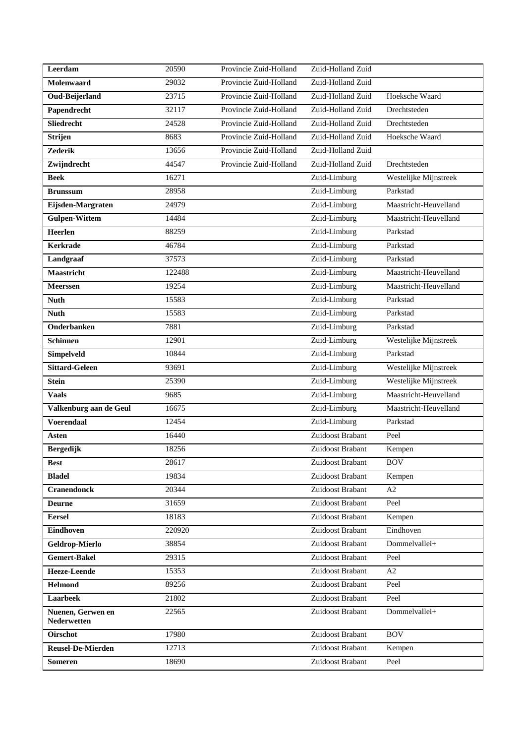| Leerdam                          | 20590  | Provincie Zuid-Holland | Zuid-Holland Zuid |                       |
|----------------------------------|--------|------------------------|-------------------|-----------------------|
| Molenwaard                       | 29032  | Provincie Zuid-Holland | Zuid-Holland Zuid |                       |
| Oud-Beijerland                   | 23715  | Provincie Zuid-Holland | Zuid-Holland Zuid | Hoeksche Waard        |
| Papendrecht                      | 32117  | Provincie Zuid-Holland | Zuid-Holland Zuid | Drechtsteden          |
| Sliedrecht                       | 24528  | Provincie Zuid-Holland | Zuid-Holland Zuid | Drechtsteden          |
| <b>Strijen</b>                   | 8683   | Provincie Zuid-Holland | Zuid-Holland Zuid | Hoeksche Waard        |
| <b>Zederik</b>                   | 13656  | Provincie Zuid-Holland | Zuid-Holland Zuid |                       |
| Zwijndrecht                      | 44547  | Provincie Zuid-Holland | Zuid-Holland Zuid | Drechtsteden          |
| <b>Beek</b>                      | 16271  |                        | Zuid-Limburg      | Westelijke Mijnstreek |
| <b>Brunssum</b>                  | 28958  |                        | Zuid-Limburg      | Parkstad              |
| Eijsden-Margraten                | 24979  |                        | Zuid-Limburg      | Maastricht-Heuvelland |
| <b>Gulpen-Wittem</b>             | 14484  |                        | Zuid-Limburg      | Maastricht-Heuvelland |
| Heerlen                          | 88259  |                        | Zuid-Limburg      | Parkstad              |
| <b>Kerkrade</b>                  | 46784  |                        | Zuid-Limburg      | Parkstad              |
| Landgraaf                        | 37573  |                        | Zuid-Limburg      | Parkstad              |
| <b>Maastricht</b>                | 122488 |                        | Zuid-Limburg      | Maastricht-Heuvelland |
| Meerssen                         | 19254  |                        | Zuid-Limburg      | Maastricht-Heuvelland |
| <b>Nuth</b>                      | 15583  |                        | Zuid-Limburg      | Parkstad              |
| <b>Nuth</b>                      | 15583  |                        | Zuid-Limburg      | Parkstad              |
| Onderbanken                      | 7881   |                        | Zuid-Limburg      | Parkstad              |
| <b>Schinnen</b>                  | 12901  |                        | Zuid-Limburg      | Westelijke Mijnstreek |
| Simpelveld                       | 10844  |                        | Zuid-Limburg      | Parkstad              |
| <b>Sittard-Geleen</b>            | 93691  |                        | Zuid-Limburg      | Westelijke Mijnstreek |
| <b>Stein</b>                     | 25390  |                        | Zuid-Limburg      | Westelijke Mijnstreek |
| <b>Vaals</b>                     | 9685   |                        | Zuid-Limburg      | Maastricht-Heuvelland |
| Valkenburg aan de Geul           | 16675  |                        | Zuid-Limburg      | Maastricht-Heuvelland |
| Voerendaal                       | 12454  |                        | Zuid-Limburg      | Parkstad              |
| <b>Asten</b>                     | 16440  |                        | Zuidoost Brabant  | Peel                  |
| <b>Bergedijk</b>                 | 18256  |                        | Zuidoost Brabant  | Kempen                |
| <b>Best</b>                      | 28617  |                        | Zuidoost Brabant  | <b>BOV</b>            |
| <b>Bladel</b>                    | 19834  |                        | Zuidoost Brabant  | Kempen                |
| <b>Cranendonck</b>               | 20344  |                        | Zuidoost Brabant  | A2                    |
| <b>Deurne</b>                    | 31659  |                        | Zuidoost Brabant  | Peel                  |
| <b>Eersel</b>                    | 18183  |                        | Zuidoost Brabant  | Kempen                |
| Eindhoven                        | 220920 |                        | Zuidoost Brabant  | Eindhoven             |
| Geldrop-Mierlo                   | 38854  |                        | Zuidoost Brabant  | Dommelvallei+         |
| <b>Gemert-Bakel</b>              | 29315  |                        | Zuidoost Brabant  | Peel                  |
| <b>Heeze-Leende</b>              | 15353  |                        | Zuidoost Brabant  | A2                    |
| <b>Helmond</b>                   | 89256  |                        | Zuidoost Brabant  | Peel                  |
| Laarbeek                         | 21802  |                        | Zuidoost Brabant  | Peel                  |
| Nuenen, Gerwen en<br>Nederwetten | 22565  |                        | Zuidoost Brabant  | Dommelvallei+         |
| <b>Oirschot</b>                  | 17980  |                        | Zuidoost Brabant  | <b>BOV</b>            |
| <b>Reusel-De-Mierden</b>         | 12713  |                        | Zuidoost Brabant  | Kempen                |
| <b>Someren</b>                   | 18690  |                        | Zuidoost Brabant  | Peel                  |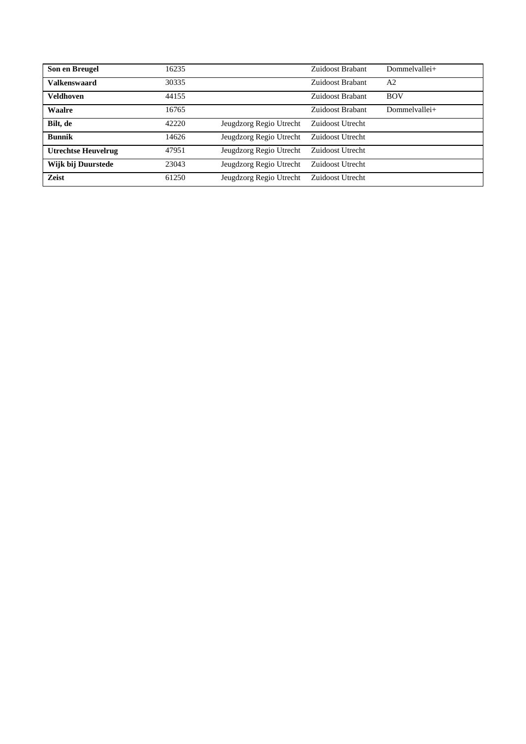| Son en Breugel             | 16235 |                         | Zuidoost Brabant | Dommelvallei+  |
|----------------------------|-------|-------------------------|------------------|----------------|
| <b>Valkenswaard</b>        | 30335 |                         | Zuidoost Brabant | A <sub>2</sub> |
| <b>Veldhoven</b>           | 44155 |                         | Zuidoost Brabant | <b>BOV</b>     |
| Waalre                     | 16765 |                         | Zuidoost Brabant | Dommelvallei+  |
| Bilt, de                   | 42220 | Jeugdzorg Regio Utrecht | Zuidoost Utrecht |                |
| <b>Bunnik</b>              | 14626 | Jeugdzorg Regio Utrecht | Zuidoost Utrecht |                |
| <b>Utrechtse Heuvelrug</b> | 47951 | Jeugdzorg Regio Utrecht | Zuidoost Utrecht |                |
| Wijk bij Duurstede         | 23043 | Jeugdzorg Regio Utrecht | Zuidoost Utrecht |                |
| Zeist                      | 61250 | Jeugdzorg Regio Utrecht | Zuidoost Utrecht |                |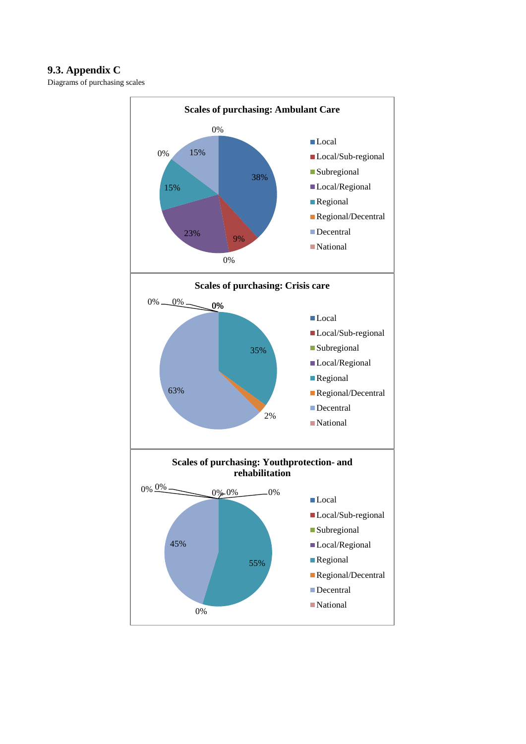# **9.3. Appendix C**

Diagrams of purchasing scales

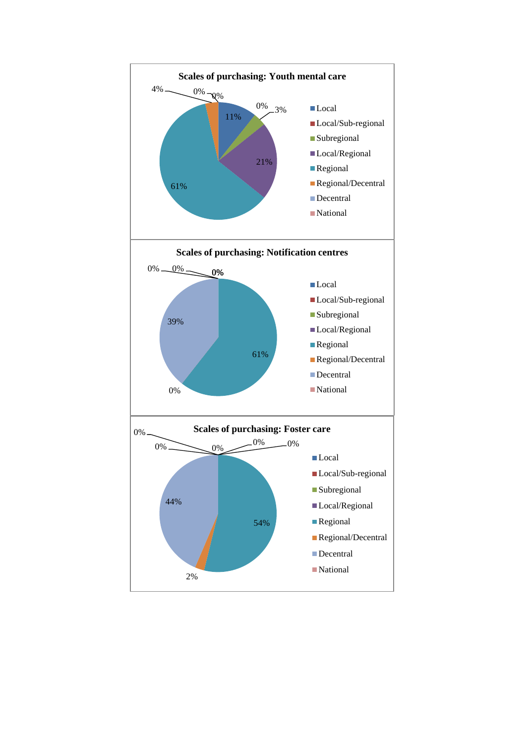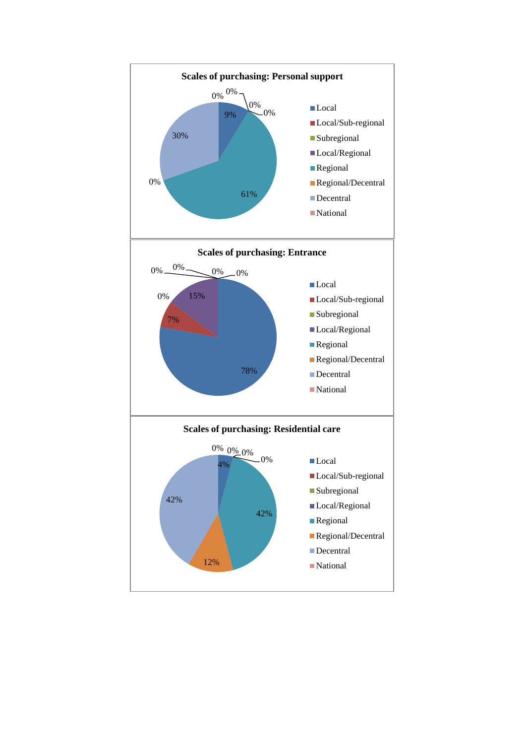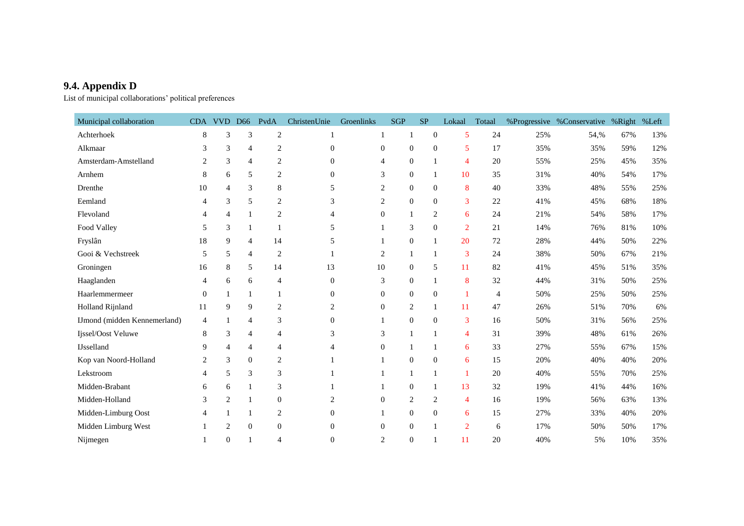# **9.4. Appendix D**

List of municipal collaborations' political preferences

| Municipal collaboration      |                | CDA VVD D66    |                  | PvdA           | ChristenUnie   | Groenlinks     | <b>SGP</b>       | SP             | Lokaal         | Totaal         |     | %Progressive %Conservative %Right %Left |     |     |
|------------------------------|----------------|----------------|------------------|----------------|----------------|----------------|------------------|----------------|----------------|----------------|-----|-----------------------------------------|-----|-----|
| Achterhoek                   | 8              | 3              | $\mathfrak{Z}$   | $\overline{c}$ | $\mathbf{1}$   |                | $\mathbf{1}$     | $\mathbf{0}$   | 5              | 24             | 25% | 54,%                                    | 67% | 13% |
| Alkmaar                      | 3              | 3              | $\overline{4}$   | 2              | $\overline{0}$ | $\overline{0}$ | $\mathbf{0}$     | $\theta$       | 5              | 17             | 35% | 35%                                     | 59% | 12% |
| Amsterdam-Amstelland         | 2              | 3              | $\overline{4}$   | 2              | $\overline{0}$ | $\overline{4}$ | $\mathbf{0}$     | $\mathbf{1}$   | 4              | 20             | 55% | 25%                                     | 45% | 35% |
| Arnhem                       | 8              | 6              | 5                | $\overline{c}$ | $\theta$       | 3              | $\mathbf{0}$     | $\mathbf{1}$   | 10             | 35             | 31% | 40%                                     | 54% | 17% |
| Drenthe                      | 10             | $\overline{4}$ | 3                | 8              | 5              | 2              | $\mathbf{0}$     | $\mathbf{0}$   | 8              | 40             | 33% | 48%                                     | 55% | 25% |
| Eemland                      | 4              | 3              | 5                | 2              | 3              | 2              | $\mathbf{0}$     | $\Omega$       | 3              | 22             | 41% | 45%                                     | 68% | 18% |
| Flevoland                    | 4              | $\overline{4}$ | $\mathbf{1}$     | $\overline{c}$ |                | $\mathbf{0}$   | $\mathbf{1}$     | $\overline{2}$ | 6              | 24             | 21% | 54%                                     | 58% | 17% |
| Food Valley                  | 5              | 3              | $\mathbf{1}$     |                | 5              |                | 3                | $\theta$       | 2              | 21             | 14% | 76%                                     | 81% | 10% |
| Fryslân                      | 18             | 9              | $\overline{4}$   | 14             | 5              |                | $\theta$         | $\mathbf{1}$   | 20             | 72             | 28% | 44%                                     | 50% | 22% |
| Gooi & Vechstreek            | 5              | 5              | $\overline{4}$   | 2              |                | 2              | 1                | 1              | 3              | 24             | 38% | 50%                                     | 67% | 21% |
| Groningen                    | 16             | 8              | 5                | 14             | 13             | 10             | $\mathbf{0}$     | 5              | 11             | 82             | 41% | 45%                                     | 51% | 35% |
| Haaglanden                   | 4              | 6              | 6                | 4              | $\theta$       | 3              | $\boldsymbol{0}$ | 1              | 8              | 32             | 44% | 31%                                     | 50% | 25% |
| Haarlemmermeer               | $\overline{0}$ |                | 1                |                | $\Omega$       | $\Omega$       | $\overline{0}$   | $\mathbf{0}$   | $\mathbf{1}$   | $\overline{4}$ | 50% | 25%                                     | 50% | 25% |
| Holland Rijnland             | 11             | 9              | 9                | 2              | 2              | $\mathbf{0}$   | $\overline{2}$   | 1              | 11             | 47             | 26% | 51%                                     | 70% | 6%  |
| IJmond (midden Kennemerland) | $\overline{4}$ |                | 4                | 3              | $\theta$       |                | $\mathbf{0}$     | $\mathbf{0}$   | 3              | 16             | 50% | 31%                                     | 56% | 25% |
| Ijssel/Oost Veluwe           | 8              | 3              | 4                | 4              | 3              | 3              | $\mathbf{1}$     | $\mathbf{1}$   | $\overline{4}$ | 31             | 39% | 48%                                     | 61% | 26% |
| <b>IJsselland</b>            | 9              | 4              | 4                | 4              | 4              | $\Omega$       | 1                | 1              | 6              | 33             | 27% | 55%                                     | 67% | 15% |
| Kop van Noord-Holland        | 2              | 3              | $\boldsymbol{0}$ | 2              |                |                | $\mathbf{0}$     | $\mathbf{0}$   | 6              | 15             | 20% | 40%                                     | 40% | 20% |
| Lekstroom                    | 4              | 5              | $\mathfrak{Z}$   | 3              |                |                | 1                | 1              | $\overline{1}$ | 20             | 40% | 55%                                     | 70% | 25% |
| Midden-Brabant               | 6              | 6              | 1                | 3              |                |                | $\overline{0}$   | $\mathbf{1}$   | 13             | 32             | 19% | 41%                                     | 44% | 16% |
| Midden-Holland               | 3              | 2              | 1                | $\overline{0}$ | 2              | $\mathbf{0}$   | $\overline{2}$   | $\overline{2}$ | $\overline{4}$ | 16             | 19% | 56%                                     | 63% | 13% |
| Midden-Limburg Oost          | 4              |                |                  | 2              | $\Omega$       |                | $\mathbf{0}$     | $\theta$       | 6              | 15             | 27% | 33%                                     | 40% | 20% |
| Midden Limburg West          |                | $\overline{2}$ | $\boldsymbol{0}$ | $\overline{0}$ | $\Omega$       | $\mathbf{0}$   | $\theta$         |                | $\overline{2}$ | 6              | 17% | 50%                                     | 50% | 17% |
| Nijmegen                     |                | $\Omega$       |                  | 4              | $\overline{0}$ | 2              | $\boldsymbol{0}$ |                | 11             | 20             | 40% | 5%                                      | 10% | 35% |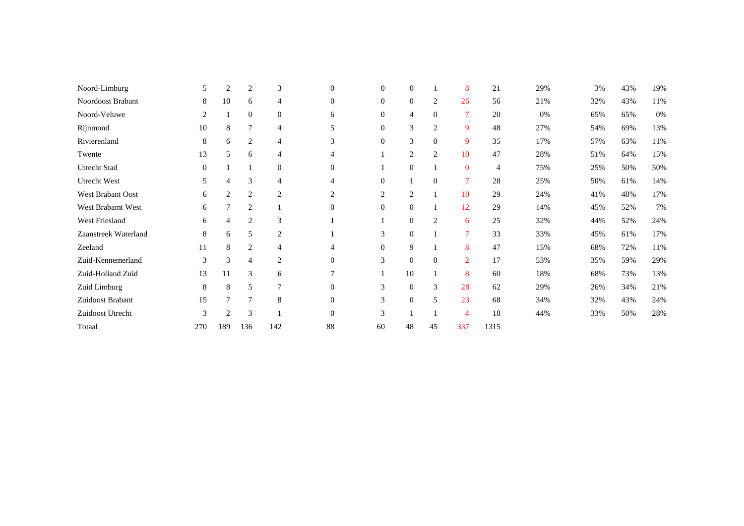| Noord-Limburg        | 5              | 2              | 2              | 3                | $\mathbf{0}$     | $\theta$       | $\theta$         |                | 8              | 21   | 29% | 3%  | 43% | 19%    |
|----------------------|----------------|----------------|----------------|------------------|------------------|----------------|------------------|----------------|----------------|------|-----|-----|-----|--------|
| Noordoost Brabant    | 8              | 10             | 6              | 4                | $\mathbf{0}$     | $\mathbf{0}$   | $\mathbf{0}$     | $\overline{2}$ | 26             | 56   | 21% | 32% | 43% | $11\%$ |
| Noord-Veluwe         | 2              |                | $\overline{0}$ | $\mathbf{0}$     | 6                | $\overline{0}$ | 4                | $\overline{0}$ | 7              | 20   | 0%  | 65% | 65% | 0%     |
| Rijnmond             | 10             | 8              | 7              | $\overline{4}$   | 5                | $\mathbf{0}$   | 3                | $\overline{2}$ | 9              | 48   | 27% | 54% | 69% | 13%    |
| Rivierenland         | 8              | 6              | $\overline{2}$ | 4                | 3                | $\mathbf{0}$   | $\mathfrak{Z}$   | $\theta$       | 9              | 35   | 17% | 57% | 63% | 11%    |
| Twente               | 13             | 5              | 6              | $\overline{4}$   | 4                |                | $\boldsymbol{2}$ | 2              | 10             | 47   | 28% | 51% | 64% | 15%    |
| Utrecht Stad         | $\overline{0}$ |                |                | $\boldsymbol{0}$ | $\boldsymbol{0}$ |                | $\mathbf{0}$     |                | $\mathbf{0}$   | 4    | 75% | 25% | 50% | 50%    |
| Utrecht West         | 5              | 4              | 3              | $\overline{4}$   | 4                | $\theta$       |                  | $\overline{0}$ | 7              | 28   | 25% | 50% | 61% | 14%    |
| West Brabant Oost    | 6              | $\overline{2}$ | $\overline{2}$ | $\overline{2}$   | 2                | $\overline{2}$ | $\overline{2}$   |                | 10             | 29   | 24% | 41% | 48% | 17%    |
| West Brabamt West    | 6              | 7              | $\overline{2}$ |                  | $\mathbf{0}$     | $\mathbf{0}$   | $\mathbf{0}$     |                | 12             | 29   | 14% | 45% | 52% | 7%     |
| West Friesland       | 6              | $\overline{4}$ | $\overline{2}$ | 3                |                  |                | $\mathbf{0}$     | $\overline{2}$ | 6              | 25   | 32% | 44% | 52% | 24%    |
| Zaanstreek Waterland | 8              | 6              | 5              | $\overline{2}$   |                  | 3              | $\mathbf{0}$     |                | $\overline{7}$ | 33   | 33% | 45% | 61% | 17%    |
| Zeeland              | 11             | 8              | $\overline{2}$ | $\overline{4}$   | 4                | $\mathbf{0}$   | 9                |                | 8              | 47   | 15% | 68% | 72% | 11%    |
| Zuid-Kennemerland    | 3              | 3              | 4              | 2                | $\boldsymbol{0}$ | 3              | $\mathbf{0}$     | $\mathbf{0}$   | $\overline{2}$ | 17   | 53% | 35% | 59% | 29%    |
| Zuid-Holland Zuid    | 13             | 11             | 3              | 6                | 7                |                | 10               |                | 8              | 60   | 18% | 68% | 73% | 13%    |
| Zuid Limburg         | 8              | 8              | 5              | $\overline{7}$   | $\mathbf{0}$     | 3              | $\mathbf{0}$     | 3              | 28             | 62   | 29% | 26% | 34% | 21%    |
| Zuidoost Brabant     | 15             | 7              | 7              | 8                | $\boldsymbol{0}$ | 3              | $\mathbf{0}$     | 5              | 23             | 68   | 34% | 32% | 43% | 24%    |
| Zuidoost Utrecht     | 3              | 2              | 3              |                  | $\mathbf{0}$     | 3              | 1                |                | 4              | 18   | 44% | 33% | 50% | 28%    |
| Totaal               | 270            | 189            | 136            | 142              | 88               | 60             | 48               | 45             | 337            | 1315 |     |     |     |        |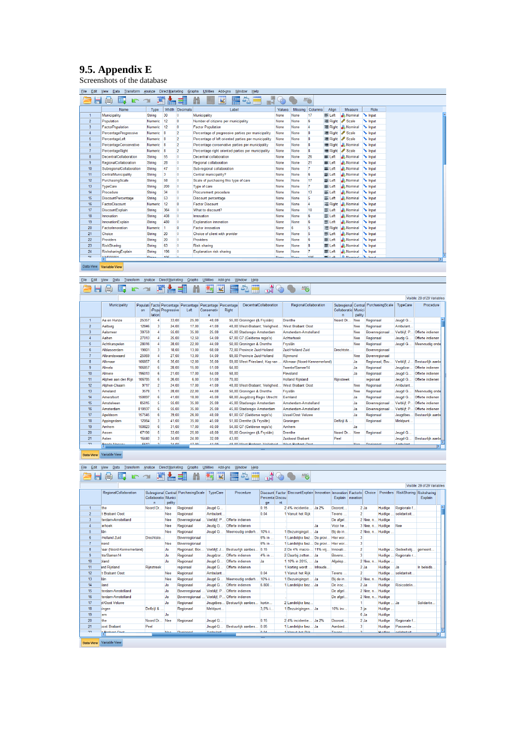# **9.5. Appendix E**

Screenshots of the database

| File<br>Edit   | view<br>Data<br>Transform    | Analyze       | Direct Marketing |                | Graphs<br><b>Utilities</b><br>Add-ons<br>Window<br>Help |             |             |                 |                |                                  |                             |  |
|----------------|------------------------------|---------------|------------------|----------------|---------------------------------------------------------|-------------|-------------|-----------------|----------------|----------------------------------|-----------------------------|--|
|                | m.<br>$\oplus$<br><b>K</b> 2 | 鹭             |                  |                | ¥<br>H<br>鹽                                             |             |             | <b>ABC</b>      |                |                                  |                             |  |
|                | Name                         | Type          |                  | Width Decimals | Label                                                   | Values      |             | Missing Columns | Align          | Measure                          | Role                        |  |
| $\mathbf{1}$   | Municipality                 | <b>String</b> | 30               | 10             | Municipality                                            | None        | None        | 17              | 三 Left         | & Nominal                        | $\sim$ Input                |  |
| $\overline{2}$ | Population                   | Numeric       | 12               | $\mathbf{0}$   | Number of citizens per municipality                     | None        | None        | 6               | <b>三 Right</b> | Scale                            | $\blacktriangleright$ Input |  |
| 3              | <b>FactorPopulation</b>      | Numeric       | 12               | $\overline{0}$ | <b>Factor Population</b>                                | None        | None        | 4               | <b>三 Right</b> | & Nominal                        | $\sim$ Input                |  |
| $\overline{4}$ | PercentageProgressive        | Numeric       | $\mathbf{a}$     | $\overline{2}$ | Percentage of progressive parties per municipality      | None        | None        | 8               | = Right        | Scale                            | Input                       |  |
| 5              | PercentageLeft               | Numeric       | 8                | $\overline{2}$ | Percentage of left oriented parties per municipality    | None        | None        | <sub>8</sub>    | <b>E</b> Right | Scale                            | $\sim$ Input                |  |
| 6              | PercantageConservative       | Numeric       | <b>S</b>         | $\overline{2}$ | Percentage conservative parties per municipality        | None        | None        | 8               | = Right        | A Nominal                        | $\sim$ Input                |  |
| $\overline{7}$ | PercentageRight              | Numeric       | 18               | $\overline{2}$ | Percentage right oriented parties per municipality      | None        | None        | 8               | Right          | $\mathscr{P}$ Scale              | $\sim$ Input                |  |
| 8              | DecentralCollaboration       | String        | 55               | 10             | Decentral collaboration                                 | None        | None        | 26              | E Left         | & Nominal                        | $\sim$ Input                |  |
| 9              | RegionalCollaboration        | <b>String</b> | 28               | 10             | Regional collaboration                                  | None        | None        | 21              | E Left         | & Nominal                        | $\sim$ Input                |  |
| 10             | SubregionalCollaboration     | <b>String</b> | 47               | 10             | Sub-regional collaboration                              | None        | None        | $\overline{7}$  | <b>E</b> Left  | & Nominal                        | Input                       |  |
| 11             | CentralMunicipality          | <b>String</b> | 3                | 10             | Central municipality?                                   | None        | None        | 6               | E Left         | & Nominal                        | Input                       |  |
| 12             | PurchasingScale              | <b>String</b> | 58               | lo.            | Scale of purchasing this type of care                   | None        | None        | 17              | E Left         | <b>A</b> Nominal                 | $\sim$ Input                |  |
| 13             | <b>TypeCare</b>              | <b>String</b> | 200              | 10             | Type of care                                            | None        | None        | 7               | E Left         | <b>A</b> Nominal                 | $\sim$ Input                |  |
| 14             | Procedure                    | String        | 34               | 10             | Procurement procedure                                   | None        | None        | 13              | E Left         | & Nominal                        | $\sim$ Input                |  |
| 15             | <b>DiscountPercentage</b>    | String        | 53               | 10             | <b>Discount percentage</b>                              | None        | None        | 5               | E Left         | A Nominal                        | $\sim$ Input                |  |
| 16             | <b>FactorDiscount</b>        | Numeric       | 12               | $\overline{0}$ | <b>Factor Discount</b>                                  | None        | None        |                 | 三 Right        | & Nominal                        | $\sim$ Input                |  |
| 17             | <b>DiscountExplain</b>       | String        | 364              | 10             | What to discount?                                       | None        | None        | 10              | E Left         | & Nominal                        | $\sim$ Input                |  |
| 18             | Innovation                   | <b>String</b> | 408              | 10             | Innovation                                              | None        | None        | 6               | 三 Left         | & Nominal                        | $\blacktriangleright$ Input |  |
| 19             | InnovationExplain            | <b>String</b> | 480              | 10             | <b>Explanation innovation</b>                           | None        | None        | 6               | E Left         | & Nominal                        | Input                       |  |
| 20             | FactorInnovation             | Numeric       |                  | o              | <b>Factor innovation</b>                                | None        | 6           | 5               | 三 Right        | <b>A</b> Nominal                 | $\sim$ Input                |  |
| 21             | Choice                       | <b>String</b> | 20               | 10             | Choice of client with provider                          | None        | None        | 5               | E Left         | & Nominal                        | $\sim$ Input                |  |
| 22             | Providers                    | String        | 20               | 10             | <b>Providers</b>                                        | None        | None        | 6               | E Left         | <b>A</b> Nominal                 | $\sim$ Input                |  |
| 23             | RiskSharing                  | String        | 63               | lo.            | Risk sharing                                            | None        | None        | 8               | E Left         | & Nominal                        | $\sim$ Input                |  |
| 24             | RisksharingExplain           | String        | 196              | 10             | Explanation risk sharing                                | None        | None        |                 | E Left         | & Nominal                        | <b>N</b> Input              |  |
| <b>OC</b>      | 1/600004                     | Christmas     | 100              | in.            |                                                         | <b>Manu</b> | <b>Alan</b> | 10 <sub>c</sub> | $=1.4$         | <b>C</b> Maminal <b>A.</b> Insue |                             |  |

Data View Variable View

# Ele Est Vew Data Transform Analyze DirectMarketing Graphs Utilities Add-ons Window Help<br>Electric Vew Data Transform Analyze DirectMarketing Graphs Utilities Add-ons Window Help (40 0 ^46)

|                  |                     |        |                         |                                                           |       |                                      |       |                                 |                              |                     |        |                                     |              | Visible: 29 of 29 Variables |
|------------------|---------------------|--------|-------------------------|-----------------------------------------------------------|-------|--------------------------------------|-------|---------------------------------|------------------------------|---------------------|--------|-------------------------------------|--------------|-----------------------------|
|                  | Municipality        | on     | lation                  | Populati Facto Percentage Percentage<br>rPopu Progressive | Left  | Percantage Percentage<br>Conservativ | Right | <b>DecentralCollaboration</b>   | RegionalCollaboration        | Collaboratio Munici | pality | Subregional Central PurchasingScale | TypeCare     | Procedure                   |
|                  | Aa en Hunze         | 25357  |                         | 33.00                                                     | 25.00 | 48.00                                |       | 55,00 Groningen (& Fryslân)     | Drenthe                      | Noord Dr.           | Nee    | Regionaal                           | Jeugd G      |                             |
| $\overline{2}$   | Aalburg             | 12846  | $\overline{\mathbf{3}}$ | 24.00                                                     | 17.00 | 41.00                                |       | 48.00 West-Brabant: Veiligheid  | <b>West Brabant Oost</b>     |                     | Nee    | Regionaal                           | Ambulant     |                             |
| $\mathbf{3}$     | Aalsmeer            | 30759  |                         | 55.00                                                     | 35.00 | 25.00                                |       | 45.00 Stadsregio Amsterdam      | Amsterdam-Amstelland         |                     | Nee    | Bovenregionaal                      | Verbliif: P. | Offerte indienen            |
| $\overline{4}$   | Aalten              | 27013  |                         | 25.00                                                     | 12.50 | 54.00                                |       | 67.00 G7 (Gelderse regio's)     | Achterhoek                   |                     | Nee    | Regionaal                           | Jeudg G      | Offerte indienen            |
| 5                | Achtkarspelen       | 28016  |                         | 28,00                                                     | 22.00 | 44.00                                |       | 50,00 Groningen & Drenthe       | Fryslân                      |                     | Nee    | Regionaal                           | Jeugd G.,    | Meervoudig onde             |
| 6                | Alblasserdam        | 19801  |                         | 18,00                                                     | 13.00 | 68.00                                |       | 72.00 Provincie Zuid-Holland    | <b>Zuid-Holland Zuid</b>     | Drechtste           |        | Bovenregionaal                      |              |                             |
|                  | Albrandswaard       | 25069  |                         | 27.00                                                     | 13.00 | 54.00                                |       | 69.00 Provincie Zuid-Holland    | Rijnmond                     |                     | Nee    | Bovenregionaal                      |              |                             |
| 8                | Alkmaar             | 106857 |                         | 35.00                                                     | 12.00 | 35.00                                |       | 59.00 West Friesland: Kop van.  | Alkmaar (Noord-Kennemerland) |                     | Ja     | Regionaal: Boy                      | Verbliif: J  | Bestuurlijk aanbe           |
| 9                | Almelo              | 106857 |                         | 28.00                                                     | 15.00 | 51.00                                | 64.00 |                                 | Twente/Samen14               |                     | Ja     | Regionaal                           | Jeugdzor     | Offerte indienen            |
| 10 <sup>10</sup> | Almere              | 196013 |                         | 21.00                                                     | 17.00 | 54.00                                | 58.00 |                                 | Flevoland                    |                     | Ja     | Regionaal                           | Jeugd G      | Offerte indienen            |
| 11               | Alphen aan den Rijn | 106785 |                         | 26,00                                                     | 6.00  | 51,00                                | 70.00 |                                 | <b>Holland Rijnland</b>      | Riinstreek          |        | regionaal                           | Jeugd G      | Offerte indienen            |
| 12               | Alphen-Chaam        | 9717   |                         | 24.00                                                     | 17.00 | 41.00                                |       | 48.00 West-Brabant: Veiligheid. | <b>West Brabant Oost</b>     |                     | Nee    | Regionaal                           | Ambulant     |                             |
| 13               | Ameland             | 3578   |                         | 28,00                                                     | 22.00 | 44.00                                |       | 50.00 Groningen & Drenthe       | Fryslân                      |                     | Nee    | Regionaal                           | Jeugd G      | Meervoudig onde             |
| 14               | Amersfoort          | 150897 |                         | 41.00                                                     | 18.00 | 45.00                                |       | 68.00 Jeugdzorg Regio Utrecht   | Eemland                      |                     | Ja     | Regionaal                           | Jeugd G      | Offerte indienen            |
| 15               | Amstelveen          | 85015  |                         | 55.00                                                     | 35.00 | 25.00                                |       | 45.00 Stadsregio Amsterdam      | Amsterdam-Amstelland         |                     | Ja     | Bovenregionaal                      | Verbliif: P. | Offerte indienen            |
| 16               | Amsterdam           | 810937 |                         | 55.00                                                     | 35.00 | 25,00                                |       | 45.00 Stadsregio Amsterdam      | Amsterdam-Amstelland         |                     | Ja     | Bovenregionaal                      | Verbliif: P. | Offerte indienen            |
| 17               | Apeldoom            | 157545 |                         | 39,00                                                     | 26,00 | 48,00                                |       | 61,00 G7 (Gelderse regio's)     | <b>Ussel/Oost Veluwe</b>     |                     | Ja     | Regionaal                           | Jeugdbes.    | Bestuurlijk aanbe           |
| 18               | Appingedam          | 12064  |                         | 41.00                                                     | 35.00 | 45.00                                |       | 51.00 Drenthe (& Fryslân)       | Groningen                    | Delfzijl &          |        | Regionaal                           | Meldpunt     |                             |
| 19               | Amhem               | 150823 |                         | 31.00                                                     | 17.00 | 40.00                                |       | 54.00 G7 (Gelderse regio's)     | Amhem                        |                     | Ja     |                                     |              |                             |
| 20               | Assen               | 67190  |                         | 33.00                                                     | 25.00 | 48.00                                |       | 55,00 Groningen (& Fryslân)     | Drenthe                      | Noord Dr            | Nee    | Regionaal                           | Jeugd G      |                             |
| 21               | Asten               | 16440  |                         | 34.00                                                     | 24.00 | 32.00                                | 43.00 |                                 | Zuidoost Brabant             | Peel                |        |                                     | Jeugd-G      | Bestuurlijk aanbe           |
| 22               | <b>Doods Mooney</b> | 0012   | $\sim$                  | 24.00                                                     | 17.00 | 14.00                                |       | 10.00 Minst Rephant: Mailinhaid | Mast Replant Oast            |                     | Max    | Danianaal                           | Anahudant    | $1 \times 1$                |

# Data View Variable View

# Ele Est Vew Data Transform Analyze DirectWarkeling Graphs Ultilles Adagos Window Help<br>Ele Est Vew Data Transform Analyze DirectWarkeling Graphs Ultilles Adagos Window Help<br>Ele Est Vew Data Transform Analyze DirectWarkeling

|                  | RegionalCollaboration     | Collaboratio Munici<br>$\mathsf{n}$ | pality | Subregional Central PurchasingScale | TypeCare         | Procedure                    | Percenta Discou<br>ge | nt | Discount Factor DiscountExplain Innovation Innovation Factorin Choice |           |                | Explain novation        |                    |                   | Providers RiskSharing Risksharing | Visible: 29 of 29 Variables<br>Explain |     |
|------------------|---------------------------|-------------------------------------|--------|-------------------------------------|------------------|------------------------------|-----------------------|----|-----------------------------------------------------------------------|-----------|----------------|-------------------------|--------------------|-------------------|-----------------------------------|----------------------------------------|-----|
| $\mathbf{1}$     | the                       | Noord Dr                            | Nee    | Regionaal                           | Jeuad G          |                              | 0.15                  |    | 2 4% incidentie                                                       | Ja2%      | <b>Dooront</b> |                         | 2 Ja               | Huidige           | Regionale f                       |                                        |     |
| $\overline{2}$   | t Brabant Oost            |                                     | Nee    | Regionaal                           | Ambulant         |                              | 0.04                  |    | 1 Vanuit het Rijk                                                     |           | Tevens         | $\overline{a}$          |                    | Huidige           | solidariteit                      |                                        |     |
| 3                | terdam-Amstelland         |                                     | Nee    | Bovenregionaal                      |                  | Verbliif: P Offerte indienen |                       |    |                                                                       |           | De afgel       |                         | 2 Nee, n., Huidige |                   |                                   |                                        |     |
| $\overline{4}$   | erhoek                    |                                     | Nee    | Regionaal                           | Jeuda G          | <b>Offerte</b> indienen      |                       |    |                                                                       | IJa       | Voor he        |                         | 3 Nee, n., Huidige |                   | Nee                               |                                        |     |
| 5                | llân                      |                                     | Nee    | Regionaal                           | Jeugd G          | Meervoudig onderh.           | 10% i                 |    | 1 Bezuinigingst                                                       | <b>Ja</b> | Bij de in      |                         |                    | 2 Nee, n Huidige. |                                   |                                        |     |
| 6                | <b>Holland Zuid</b>       | Drechtste                           |        | Bovenregionaal                      |                  |                              | 6% in                 |    | 1 Landelijke bez                                                      | De provi  | Hier wor       | 3                       |                    |                   |                                   |                                        |     |
| $\overline{7}$   | nond                      |                                     | Nee    | Bovenregionaal                      |                  |                              | 6% in                 |    | 1 Landelijke bez De provi Hier wor                                    |           |                | $\overline{\mathbf{3}}$ |                    |                   |                                   |                                        |     |
| 8                | haar (Noord-Kennemerland) |                                     | Ja     | Regionaal: Boy                      | Verbliif: J.     | Bestuurlijk aanbes.          | 0.15                  |    | 2 De 4% macro- 11% vrii                                               |           | Innovati       | $\overline{2}$          |                    | Huidige           | Gedeeltelii                       | gemeent                                |     |
| 9                | hte/Samen14               |                                     | Ja     | Regionaal                           | Jeugdzor         | Offerte indienen             | 4% in                 |    | 2 Daarbij zetten Ja                                                   |           | Boveno         | $\overline{\mathbf{3}}$ |                    | Huidige           | Regionale r                       |                                        |     |
| 10               | bland                     |                                     | Ja     | Regionaal                           | Jeugd G          | Offerte indienen             | Ja                    |    | 1 10% in 2015.  Ja                                                    |           | Afgelop        |                         | 2 Nee. n.          | Huidige           |                                   |                                        |     |
| 11               | <b>Ind Riinland</b>       | Riinstreek                          |        | regionaal                           | Jeugd G          | Offerte indienen             |                       |    | 1 korting wordt  Inhoude                                              |           |                |                         | 2 Ja               | Huidige           | <b>Ja</b>                         | In beleids                             |     |
| 12               | t Brabant Oost            |                                     | Nee    | Regionaal                           | Ambulant         |                              | 0.04                  |    | 1 Vanuit het Riik                                                     |           | <b>Tevens</b>  | $\overline{2}$          |                    |                   | Huidige  solidariteit             |                                        |     |
| 13               | lân                       |                                     | Nee    | Regionaal                           | Jeugd G          | Meervoudig onderh.           | 10% i                 |    | 1 Bezuinigingst Ja                                                    |           | Bij de in      |                         | 2 Nee, n.          | Huidige           |                                   |                                        |     |
| 14               | land                      |                                     | Ja     | Regionaal                           | Jeugd G          | <b>Offerte</b> indienen      | 6.800                 |    | 1 Landelijke bez Ja                                                   |           | De insc        |                         | $2$ Ja             | Huidige           | Risicodelin                       |                                        |     |
| 15               | terdam-Amstelland         |                                     | Ja     | Bovenregionaal                      |                  | Verblijf: P Offerte indienen |                       |    |                                                                       |           | De afgel       |                         | 2 Nee, n.          | Huidige           |                                   |                                        |     |
| 16               | terdam-Amstelland         |                                     | Ja     | Bovenregionaal                      |                  | Verbliif: P Offerte indienen |                       |    |                                                                       |           | De afgel.      |                         | 2 Nee, n.          | Huidige           |                                   |                                        |     |
| 17               | <b>al/Oost Veluwe</b>     |                                     | Ja     | Regionaal                           | Jeugdbes.        | Bestuurlijk aanbes.          | kortin                |    | 2 Landelijke bez                                                      |           |                |                         |                    | Huidige  Ja       |                                   | Solidarite.                            |     |
| 18               | lingen                    | Delfziil &                          |        | Regionaal                           | Meldpunt         |                              | 3.5% i                |    | 1 Bezuinigingen Ja                                                    |           | 10% inv        |                         | 3 ja               | Huidige           |                                   |                                        |     |
| 19               | lem                       |                                     | Ja     |                                     |                  |                              |                       |    |                                                                       |           |                |                         | 6 Ja               | Huidige           |                                   |                                        |     |
| 20               | the                       | Noord Dr                            | Nee    | Regionaal                           | Jeugd G          |                              | 0.15                  |    | 2 4% incidentie Ja 2%                                                 |           | Dooront        |                         | 2 Ja               | Huidige           | Regionale f                       |                                        |     |
| 21               | bost Brabant              | Peel                                |        |                                     | Jeugd-G          | Bestuurlijk aanbes           | 0.05                  |    | 1 Landelijke bez Ja                                                   |           | Aanbied        | 3                       |                    | Huidige           | Passende                          |                                        |     |
| 22               | <b>Drahant Oast</b>       |                                     | Max.   | <b>Degionant</b>                    | <b>Anahudant</b> |                              | 0.04                  |    | <b>A Manuit hat Dills</b>                                             |           | Taiana         | $\sim$                  |                    | Huidian           | <b>Kathabilar</b>                 |                                        | lк. |
| <b>Data View</b> | Variable View             |                                     |        |                                     |                  |                              |                       |    |                                                                       |           |                |                         |                    |                   |                                   |                                        |     |